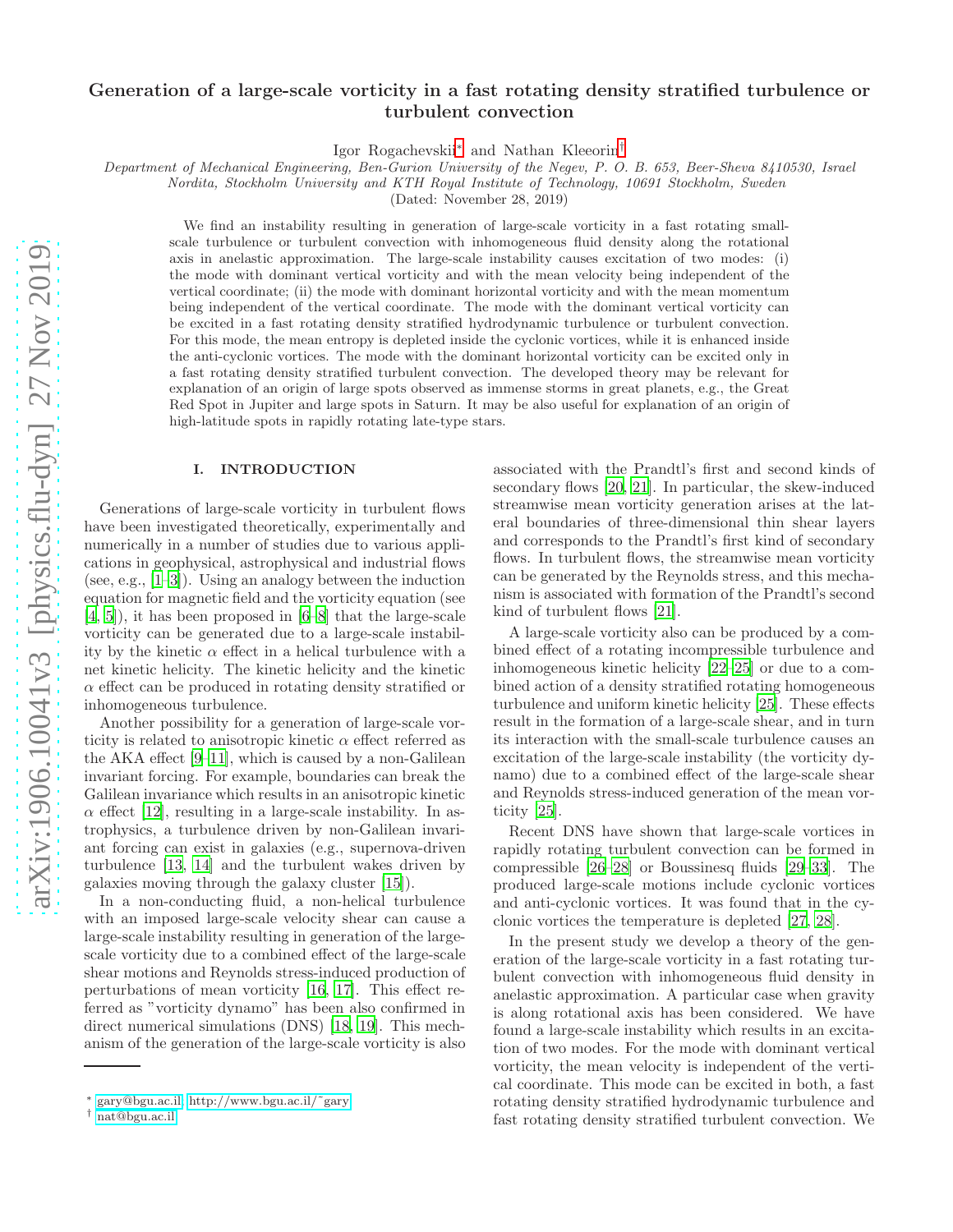# Generation of a large-scale vorticity in a fast rotating density stratified turbulence or turbulent convection

Igor Rogachevskii[∗](#page-0-0) and Nathan Kleeorin[†](#page-0-1)

Department of Mechanical Engineering, Ben-Gurion University of the Negev, P. O. B. 653, Beer-Sheva 8410530, Israel

Nordita, Stockholm University and KTH Royal Institute of Technology, 10691 Stockholm, Sweden

(Dated: November 28, 2019)

We find an instability resulting in generation of large-scale vorticity in a fast rotating smallscale turbulence or turbulent convection with inhomogeneous fluid density along the rotational axis in anelastic approximation. The large-scale instability causes excitation of two modes: (i) the mode with dominant vertical vorticity and with the mean velocity being independent of the vertical coordinate; (ii) the mode with dominant horizontal vorticity and with the mean momentum being independent of the vertical coordinate. The mode with the dominant vertical vorticity can be excited in a fast rotating density stratified hydrodynamic turbulence or turbulent convection. For this mode, the mean entropy is depleted inside the cyclonic vortices, while it is enhanced inside the anti-cyclonic vortices. The mode with the dominant horizontal vorticity can be excited only in a fast rotating density stratified turbulent convection. The developed theory may be relevant for explanation of an origin of large spots observed as immense storms in great planets, e.g., the Great Red Spot in Jupiter and large spots in Saturn. It may be also useful for explanation of an origin of high-latitude spots in rapidly rotating late-type stars.

# I. INTRODUCTION

Generations of large-scale vorticity in turbulent flows have been investigated theoretically, experimentally and numerically in a number of studies due to various applications in geophysical, astrophysical and industrial flows (see, e.g., [\[1](#page-11-0)[–3](#page-11-1)]). Using an analogy between the induction equation for magnetic field and the vorticity equation (see [\[4,](#page-11-2) [5\]](#page-11-3)), it has been proposed in [\[6](#page-11-4)[–8](#page-11-5)] that the large-scale vorticity can be generated due to a large-scale instability by the kinetic  $\alpha$  effect in a helical turbulence with a net kinetic helicity. The kinetic helicity and the kinetic  $\alpha$  effect can be produced in rotating density stratified or inhomogeneous turbulence.

Another possibility for a generation of large-scale vorticity is related to anisotropic kinetic  $\alpha$  effect referred as the AKA effect [\[9](#page-11-6)[–11\]](#page-11-7), which is caused by a non-Galilean invariant forcing. For example, boundaries can break the Galilean invariance which results in an anisotropic kinetic  $\alpha$  effect [\[12](#page-11-8)], resulting in a large-scale instability. In astrophysics, a turbulence driven by non-Galilean invariant forcing can exist in galaxies (e.g., supernova-driven turbulence [\[13](#page-11-9), [14\]](#page-11-10) and the turbulent wakes driven by galaxies moving through the galaxy cluster [\[15\]](#page-11-11)).

In a non-conducting fluid, a non-helical turbulence with an imposed large-scale velocity shear can cause a large-scale instability resulting in generation of the largescale vorticity due to a combined effect of the large-scale shear motions and Reynolds stress-induced production of perturbations of mean vorticity [\[16](#page-11-12), [17\]](#page-11-13). This effect referred as "vorticity dynamo" has been also confirmed in direct numerical simulations (DNS) [\[18,](#page-11-14) [19\]](#page-11-15). This mechanism of the generation of the large-scale vorticity is also

associated with the Prandtl's first and second kinds of secondary flows [\[20,](#page-11-16) [21\]](#page-11-17). In particular, the skew-induced streamwise mean vorticity generation arises at the lateral boundaries of three-dimensional thin shear layers and corresponds to the Prandtl's first kind of secondary flows. In turbulent flows, the streamwise mean vorticity can be generated by the Reynolds stress, and this mechanism is associated with formation of the Prandtl's second kind of turbulent flows [\[21](#page-11-17)].

A large-scale vorticity also can be produced by a combined effect of a rotating incompressible turbulence and inhomogeneous kinetic helicity [\[22](#page-11-18)[–25](#page-11-19)] or due to a combined action of a density stratified rotating homogeneous turbulence and uniform kinetic helicity [\[25\]](#page-11-19). These effects result in the formation of a large-scale shear, and in turn its interaction with the small-scale turbulence causes an excitation of the large-scale instability (the vorticity dynamo) due to a combined effect of the large-scale shear and Reynolds stress-induced generation of the mean vorticity [\[25\]](#page-11-19).

Recent DNS have shown that large-scale vortices in rapidly rotating turbulent convection can be formed in compressible [\[26](#page-11-20)[–28](#page-11-21)] or Boussinesq fluids [\[29](#page-11-22)[–33\]](#page-11-23). The produced large-scale motions include cyclonic vortices and anti-cyclonic vortices. It was found that in the cyclonic vortices the temperature is depleted [\[27,](#page-11-24) [28\]](#page-11-21).

In the present study we develop a theory of the generation of the large-scale vorticity in a fast rotating turbulent convection with inhomogeneous fluid density in anelastic approximation. A particular case when gravity is along rotational axis has been considered. We have found a large-scale instability which results in an excitation of two modes. For the mode with dominant vertical vorticity, the mean velocity is independent of the vertical coordinate. This mode can be excited in both, a fast rotating density stratified hydrodynamic turbulence and fast rotating density stratified turbulent convection. We

<span id="page-0-0"></span><sup>∗</sup> [gary@bgu.ac.il;](mailto:gary@bgu.ac.il) [http://www.bgu.ac.il/˜gary](http://www.bgu.ac.il/~gary)

<span id="page-0-1"></span><sup>†</sup> [nat@bgu.ac.il](mailto:nat@bgu.ac.il)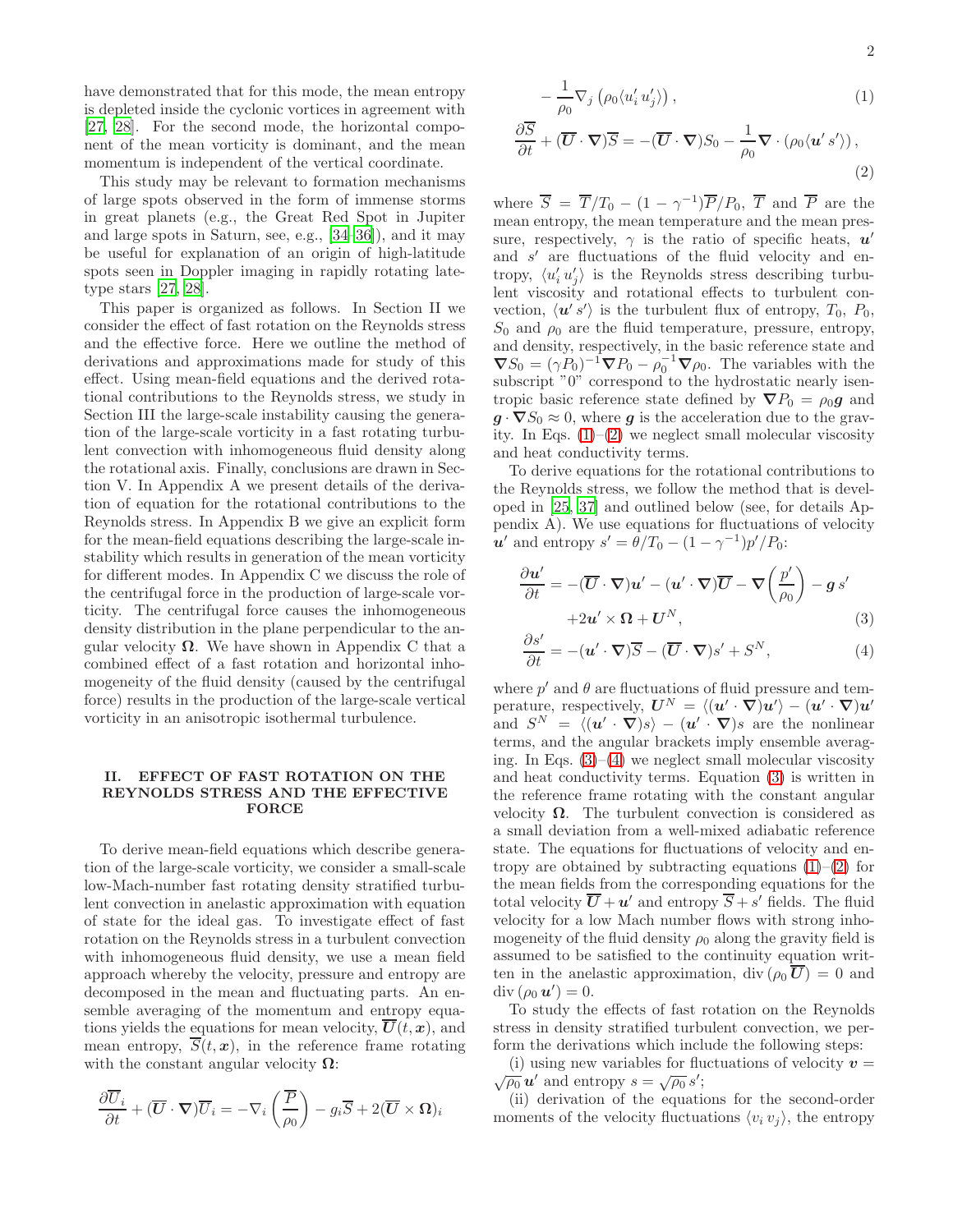have demonstrated that for this mode, the mean entropy is depleted inside the cyclonic vortices in agreement with [\[27,](#page-11-24) [28](#page-11-21)]. For the second mode, the horizontal component of the mean vorticity is dominant, and the mean momentum is independent of the vertical coordinate.

This study may be relevant to formation mechanisms of large spots observed in the form of immense storms in great planets (e.g., the Great Red Spot in Jupiter and large spots in Saturn, see, e.g., [\[34](#page-11-25)[–36\]](#page-11-26)), and it may be useful for explanation of an origin of high-latitude spots seen in Doppler imaging in rapidly rotating latetype stars [\[27](#page-11-24), [28](#page-11-21)].

This paper is organized as follows. In Section II we consider the effect of fast rotation on the Reynolds stress and the effective force. Here we outline the method of derivations and approximations made for study of this effect. Using mean-field equations and the derived rotational contributions to the Reynolds stress, we study in Section III the large-scale instability causing the generation of the large-scale vorticity in a fast rotating turbulent convection with inhomogeneous fluid density along the rotational axis. Finally, conclusions are drawn in Section V. In Appendix A we present details of the derivation of equation for the rotational contributions to the Reynolds stress. In Appendix B we give an explicit form for the mean-field equations describing the large-scale instability which results in generation of the mean vorticity for different modes. In Appendix C we discuss the role of the centrifugal force in the production of large-scale vorticity. The centrifugal force causes the inhomogeneous density distribution in the plane perpendicular to the angular velocity  $\Omega$ . We have shown in Appendix C that a combined effect of a fast rotation and horizontal inhomogeneity of the fluid density (caused by the centrifugal force) results in the production of the large-scale vertical vorticity in an anisotropic isothermal turbulence.

## II. EFFECT OF FAST ROTATION ON THE REYNOLDS STRESS AND THE EFFECTIVE FORCE

To derive mean-field equations which describe generation of the large-scale vorticity, we consider a small-scale low-Mach-number fast rotating density stratified turbulent convection in anelastic approximation with equation of state for the ideal gas. To investigate effect of fast rotation on the Reynolds stress in a turbulent convection with inhomogeneous fluid density, we use a mean field approach whereby the velocity, pressure and entropy are decomposed in the mean and fluctuating parts. An ensemble averaging of the momentum and entropy equations yields the equations for mean velocity,  $\overline{U}(t, x)$ , and mean entropy,  $\overline{S}(t, x)$ , in the reference frame rotating with the constant angular velocity  $\Omega$ :

<span id="page-1-0"></span>
$$
\frac{\partial \overline{U}_{i}}{\partial t} + (\overline{U} \cdot \nabla) \overline{U}_{i} = -\nabla_{i} \left( \frac{\overline{P}}{\rho_{0}} \right) - g_{i} \overline{S} + 2(\overline{U} \times \Omega)_{i}
$$

$$
- \frac{1}{\rho_0} \nabla_j \left( \rho_0 \langle u'_i u'_j \rangle \right), \tag{1}
$$

$$
\frac{\partial \overline{S}}{\partial t} + (\overline{U} \cdot \nabla) \overline{S} = -(\overline{U} \cdot \nabla) S_0 - \frac{1}{\rho_0} \nabla \cdot (\rho_0 \langle u' s' \rangle), \tag{2}
$$

where  $\overline{S} = \overline{T}/T_0 - (1 - \gamma^{-1})\overline{P}/P_0$ ,  $\overline{T}$  and  $\overline{P}$  are the mean entropy, the mean temperature and the mean pressure, respectively,  $\gamma$  is the ratio of specific heats,  $u'$ and s' are fluctuations of the fluid velocity and entropy,  $\langle u'_i u'_j \rangle$  is the Reynolds stress describing turbulent viscosity and rotational effects to turbulent convection,  $\langle u's' \rangle$  is the turbulent flux of entropy,  $T_0$ ,  $P_0$ ,  $S_0$  and  $\rho_0$  are the fluid temperature, pressure, entropy, and density, respectively, in the basic reference state and  $\nabla S_0 = (\gamma P_0)^{-1} \nabla P_0 - \rho_0^{-1} \nabla \rho_0$ . The variables with the subscript "0" correspond to the hydrostatic nearly isentropic basic reference state defined by  $\nabla P_0 = \rho_0 \mathbf{g}$  and  $g \cdot \nabla S_0 \approx 0$ , where g is the acceleration due to the gravity. In Eqs.  $(1)$ – $(2)$  we neglect small molecular viscosity and heat conductivity terms.

To derive equations for the rotational contributions to the Reynolds stress, we follow the method that is developed in [\[25,](#page-11-19) [37](#page-11-27)] and outlined below (see, for details Appendix A). We use equations for fluctuations of velocity  $u'$  and entropy  $s' = \theta/T_0 - (1 - \gamma^{-1})p'/P_0$ :

<span id="page-1-1"></span>
$$
\frac{\partial u'}{\partial t} = -(\overline{U} \cdot \nabla)u' - (u' \cdot \nabla)\overline{U} - \nabla \left(\frac{p'}{\rho_0}\right) - g s'
$$
  
+2u' \times \Omega + U^N, (3)

$$
\frac{\partial s'}{\partial t} = -(\mathbf{u}' \cdot \nabla)\overline{S} - (\overline{\mathbf{U}} \cdot \nabla)s' + S^N,
$$
\n(4)

where  $p'$  and  $\theta$  are fluctuations of fluid pressure and temperature, respectively,  $\boldsymbol{U}^N = \langle (\boldsymbol{u}' \cdot \boldsymbol{\nabla}) \boldsymbol{u}' \rangle - (\boldsymbol{u}' \cdot \boldsymbol{\nabla}) \boldsymbol{u}'$ and  $S^N = \langle (\boldsymbol{u}' \cdot \boldsymbol{\nabla})s \rangle - (\boldsymbol{u}' \cdot \boldsymbol{\nabla})s$  are the nonlinear terms, and the angular brackets imply ensemble averaging. In Eqs.  $(3)$ – $(4)$  we neglect small molecular viscosity and heat conductivity terms. Equation [\(3\)](#page-1-1) is written in the reference frame rotating with the constant angular velocity  $\Omega$ . The turbulent convection is considered as a small deviation from a well-mixed adiabatic reference state. The equations for fluctuations of velocity and entropy are obtained by subtracting equations  $(1)$ – $(2)$  for the mean fields from the corresponding equations for the total velocity  $\overline{U} + u'$  and entropy  $\overline{S} + s'$  fields. The fluid velocity for a low Mach number flows with strong inhomogeneity of the fluid density  $\rho_0$  along the gravity field is assumed to be satisfied to the continuity equation written in the anelastic approximation, div  $(\rho_0 \overline{U}) = 0$  and  $\mathrm{div} \, (\rho_0 \, \boldsymbol{u}') = 0.$ 

To study the effects of fast rotation on the Reynolds stress in density stratified turbulent convection, we perform the derivations which include the following steps:

(i) using new variables for fluctuations of velocity  $v =$  $\overline{\rho_0} \mathbf{u}'$  and entropy  $s = \sqrt{\rho_0} s'$ ;

(ii) derivation of the equations for the second-order moments of the velocity fluctuations  $\langle v_i v_j \rangle$ , the entropy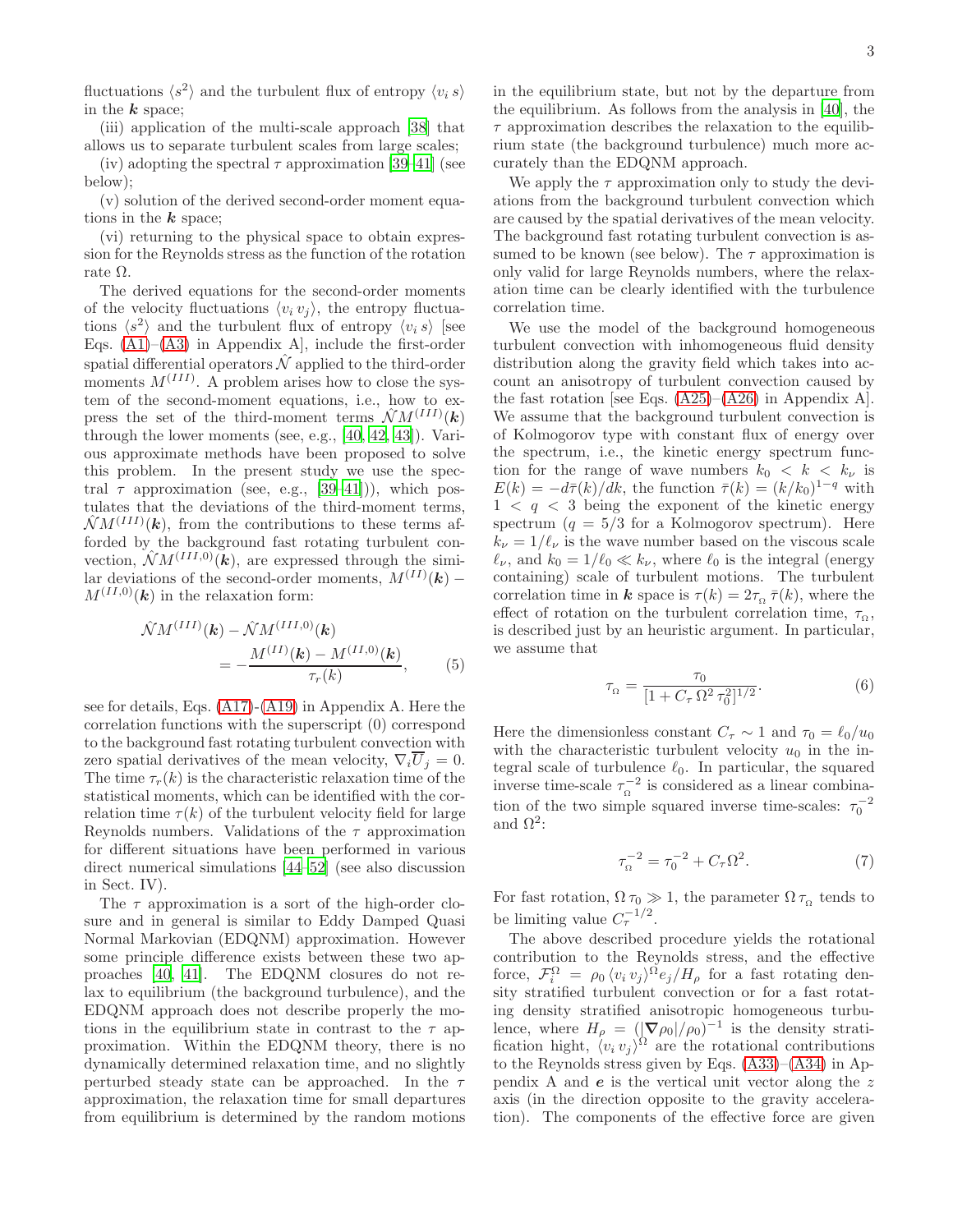fluctuations  $\langle s^2 \rangle$  and the turbulent flux of entropy  $\langle v_i s \rangle$ in the  $k$  space;

(iii) application of the multi-scale approach [\[38\]](#page-11-28) that allows us to separate turbulent scales from large scales;

(iv) adopting the spectral  $\tau$  approximation [\[39](#page-11-29)[–41](#page-11-30)] (see below);

(v) solution of the derived second-order moment equations in the  $k$  space;

(vi) returning to the physical space to obtain expression for the Reynolds stress as the function of the rotation rate Ω.

The derived equations for the second-order moments of the velocity fluctuations  $\langle v_i v_j \rangle$ , the entropy fluctuations  $\langle s^2 \rangle$  and the turbulent flux of entropy  $\langle v_i s \rangle$  [see Eqs.  $(A1)$ – $(A3)$  in Appendix A, include the first-order spatial differential operators  $\hat{\mathcal{N}}$  applied to the third-order moments  $M^{(III)}$ . A problem arises how to close the system of the second-moment equations, i.e., how to express the set of the third-moment terms  $\hat{\mathcal{N}}M^{(III)}(\boldsymbol{k})$ through the lower moments (see, e.g., [\[40](#page-11-31), [42,](#page-11-32) [43\]](#page-11-33)). Various approximate methods have been proposed to solve this problem. In the present study we use the spectral  $\tau$  approximation (see, e.g., [\[39](#page-11-29)[–41](#page-11-30)])), which postulates that the deviations of the third-moment terms,  $\hat{\mathcal{N}}M^{(III)}(\boldsymbol{k})$ , from the contributions to these terms afforded by the background fast rotating turbulent convection,  $\hat{\mathcal{N}}M^{(III,0)}(\vec{k})$ , are expressed through the similar deviations of the second-order moments,  $M^{(II)}(\boldsymbol{k})$  –  $M^{(II,0)}(\mathbf{k})$  in the relaxation form:

<span id="page-2-0"></span>
$$
\hat{\mathcal{N}}M^{(III)}(\mathbf{k}) - \hat{\mathcal{N}}M^{(III,0)}(\mathbf{k}) \n= -\frac{M^{(II)}(\mathbf{k}) - M^{(II,0)}(\mathbf{k})}{\tau_r(\mathbf{k})},
$$
\n(5)

see for details, Eqs. [\(A17\)](#page-7-0)-[\(A19\)](#page-7-0) in Appendix A. Here the correlation functions with the superscript (0) correspond to the background fast rotating turbulent convection with zero spatial derivatives of the mean velocity,  $\nabla_i \overline{U}_j = 0$ . The time  $\tau_r(k)$  is the characteristic relaxation time of the statistical moments, which can be identified with the correlation time  $\tau(k)$  of the turbulent velocity field for large Reynolds numbers. Validations of the  $\tau$  approximation for different situations have been performed in various direct numerical simulations [\[44](#page-12-0)[–52\]](#page-12-1) (see also discussion in Sect. IV).

The  $\tau$  approximation is a sort of the high-order closure and in general is similar to Eddy Damped Quasi Normal Markovian (EDQNM) approximation. However some principle difference exists between these two approaches [\[40,](#page-11-31) [41](#page-11-30)]. The EDQNM closures do not relax to equilibrium (the background turbulence), and the EDQNM approach does not describe properly the motions in the equilibrium state in contrast to the  $\tau$  approximation. Within the EDQNM theory, there is no dynamically determined relaxation time, and no slightly perturbed steady state can be approached. In the  $\tau$ approximation, the relaxation time for small departures from equilibrium is determined by the random motions in the equilibrium state, but not by the departure from the equilibrium. As follows from the analysis in [\[40\]](#page-11-31), the  $\tau$  approximation describes the relaxation to the equilibrium state (the background turbulence) much more accurately than the EDQNM approach.

We apply the  $\tau$  approximation only to study the deviations from the background turbulent convection which are caused by the spatial derivatives of the mean velocity. The background fast rotating turbulent convection is assumed to be known (see below). The  $\tau$  approximation is only valid for large Reynolds numbers, where the relaxation time can be clearly identified with the turbulence correlation time.

We use the model of the background homogeneous turbulent convection with inhomogeneous fluid density distribution along the gravity field which takes into account an anisotropy of turbulent convection caused by the fast rotation [see Eqs.  $(A25)$ – $(A26)$  in Appendix A]. We assume that the background turbulent convection is of Kolmogorov type with constant flux of energy over the spectrum, i.e., the kinetic energy spectrum function for the range of wave numbers  $k_0 < k < k_{\nu}$  is  $E(k) = -d\bar{\tau}(k)/dk$ , the function  $\bar{\tau}(k) = (k/k_0)^{1-q}$  with  $1 < q < 3$  being the exponent of the kinetic energy spectrum  $(q = 5/3$  for a Kolmogorov spectrum). Here  $k_{\nu} = 1/\ell_{\nu}$  is the wave number based on the viscous scale  $\ell_{\nu}$ , and  $k_0 = 1/\ell_0 \ll k_{\nu}$ , where  $\ell_0$  is the integral (energy containing) scale of turbulent motions. The turbulent correlation time in **k** space is  $\tau(k) = 2\tau_{\Omega} \bar{\tau}(k)$ , where the effect of rotation on the turbulent correlation time,  $\tau_{\alpha}$ , is described just by an heuristic argument. In particular, we assume that

$$
\tau_{\Omega} = \frac{\tau_0}{[1 + C_{\tau} \,\Omega^2 \,\tau_0^2]^{1/2}}.\tag{6}
$$

Here the dimensionless constant  $C_{\tau} \sim 1$  and  $\tau_0 = \ell_0/u_0$ with the characteristic turbulent velocity  $u_0$  in the integral scale of turbulence  $\ell_0$ . In particular, the squared inverse time-scale  $\tau_{\Omega}^{-2}$  is considered as a linear combination of the two simple squared inverse time-scales:  $\tau_0^{-2}$ and  $\Omega^2$ :

$$
\tau_{\Omega}^{-2} = \tau_0^{-2} + C_{\tau} \Omega^2.
$$
 (7)

For fast rotation,  $\Omega \tau_0 \gg 1$ , the parameter  $\Omega \tau_{\Omega}$  tends to be limiting value  $C_{\tau}^{-1/2}$ .

The above described procedure yields the rotational contribution to the Reynolds stress, and the effective force,  $\mathcal{F}_i^{\Omega} = \rho_0 \langle v_i v_j \rangle^{\Omega} e_j / H_{\rho}$  for a fast rotating density stratified turbulent convection or for a fast rotating density stratified anisotropic homogeneous turbulence, where  $H_{\rho} = (|\nabla \rho_0|/\rho_0)^{-1}$  is the density stratification hight,  $\langle v_i v_j \rangle^{\Omega}$  are the rotational contributions to the Reynolds stress given by Eqs. [\(A33\)](#page-8-0)–[\(A34\)](#page-8-0) in Appendix A and e is the vertical unit vector along the z axis (in the direction opposite to the gravity acceleration). The components of the effective force are given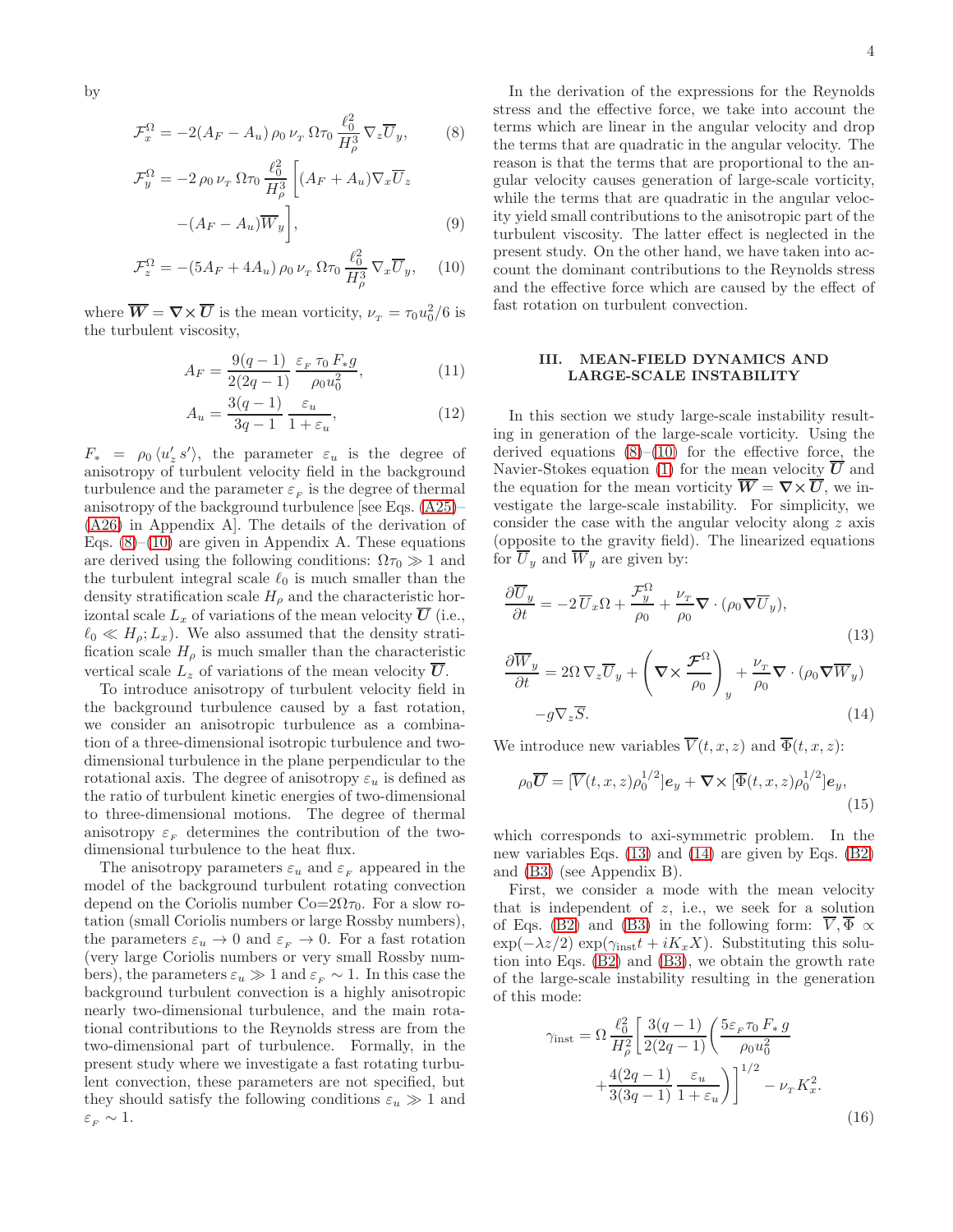by

<span id="page-3-0"></span>
$$
\mathcal{F}_x^{\Omega} = -2(A_F - A_u) \rho_0 \nu_T \Omega \tau_0 \frac{\ell_0^2}{H_\rho^3} \nabla_z \overline{U}_y, \qquad (8)
$$

$$
\mathcal{F}_y^{\Omega} = -2 \rho_0 \nu_x \Omega \tau_0 \frac{\ell_0^2}{H_\rho^3} \left[ (A_F + A_u) \nabla_x \overline{U}_z - (A_F - A_u) \overline{W}_y \right],
$$
\n(9)

$$
\mathcal{F}_z^{\Omega} = -(5A_F + 4A_u) \rho_0 \nu_T \Omega \tau_0 \frac{\ell_0^2}{H_\rho^3} \nabla_x \overline{U}_y, \quad (10)
$$

where  $\overline{W} = \nabla \times \overline{U}$  is the mean vorticity,  $\nu_{\scriptscriptstyle T} = \tau_0 u_0^2/6$  is the turbulent viscosity,

$$
A_F = \frac{9(q-1)}{2(2q-1)} \frac{\varepsilon_F \tau_0 F_* g}{\rho_0 u_0^2},
$$
\n(11)

$$
A_u = \frac{3(q-1)}{3q-1} \frac{\varepsilon_u}{1+\varepsilon_u},\tag{12}
$$

 $F_* = \rho_0 \langle u'_z s' \rangle$ , the parameter  $\varepsilon_u$  is the degree of anisotropy of turbulent velocity field in the background turbulence and the parameter  $\varepsilon_F$  is the degree of thermal anisotropy of the background turbulence [see Eqs. [\(A25\)](#page-7-1)– [\(A26\)](#page-7-1) in Appendix A]. The details of the derivation of Eqs.  $(8)$ – $(10)$  are given in Appendix A. These equations are derived using the following conditions:  $\Omega \tau_0 \gg 1$  and the turbulent integral scale  $\ell_0$  is much smaller than the density stratification scale  $H_{\rho}$  and the characteristic horizontal scale  $L_x$  of variations of the mean velocity  $\overline{U}$  (i.e.,  $\ell_0 \ll H_\rho; L_x$ ). We also assumed that the density stratification scale  $H_{\rho}$  is much smaller than the characteristic vertical scale  $L_z$  of variations of the mean velocity  $U$ .

To introduce anisotropy of turbulent velocity field in the background turbulence caused by a fast rotation, we consider an anisotropic turbulence as a combination of a three-dimensional isotropic turbulence and twodimensional turbulence in the plane perpendicular to the rotational axis. The degree of anisotropy  $\varepsilon_u$  is defined as the ratio of turbulent kinetic energies of two-dimensional to three-dimensional motions. The degree of thermal anisotropy  $\varepsilon_{\rm F}$  determines the contribution of the twodimensional turbulence to the heat flux.

The anisotropy parameters  $\varepsilon_u$  and  $\varepsilon_F$  appeared in the model of the background turbulent rotating convection depend on the Coriolis number  $Co=2\Omega\tau_0$ . For a slow rotation (small Coriolis numbers or large Rossby numbers), the parameters  $\varepsilon_u \to 0$  and  $\varepsilon_F \to 0$ . For a fast rotation (very large Coriolis numbers or very small Rossby numbers), the parameters  $\varepsilon_u \gg 1$  and  $\varepsilon_F \sim 1$ . In this case the background turbulent convection is a highly anisotropic nearly two-dimensional turbulence, and the main rotational contributions to the Reynolds stress are from the two-dimensional part of turbulence. Formally, in the present study where we investigate a fast rotating turbulent convection, these parameters are not specified, but they should satisfy the following conditions  $\varepsilon_u \gg 1$  and  $\varepsilon_{\scriptscriptstyle F} \sim 1.$ 

In the derivation of the expressions for the Reynolds stress and the effective force, we take into account the terms which are linear in the angular velocity and drop the terms that are quadratic in the angular velocity. The reason is that the terms that are proportional to the angular velocity causes generation of large-scale vorticity, while the terms that are quadratic in the angular velocity yield small contributions to the anisotropic part of the turbulent viscosity. The latter effect is neglected in the present study. On the other hand, we have taken into account the dominant contributions to the Reynolds stress and the effective force which are caused by the effect of fast rotation on turbulent convection.

# III. MEAN-FIELD DYNAMICS AND LARGE-SCALE INSTABILITY

In this section we study large-scale instability resulting in generation of the large-scale vorticity. Using the derived equations  $(8)$ – $(10)$  for the effective force, the Navier-Stokes equation [\(1\)](#page-1-0) for the mean velocity  $\overline{U}$  and the equation for the mean vorticity  $\overline{W} = \nabla \times \overline{U}$ , we investigate the large-scale instability. For simplicity, we consider the case with the angular velocity along z axis (opposite to the gravity field). The linearized equations for  $\overline{U}_y$  and  $\overline{W}_y$  are given by:

<span id="page-3-1"></span>
$$
\frac{\partial \overline{U}_y}{\partial t} = -2 \overline{U}_x \Omega + \frac{\mathcal{F}_y^{\Omega}}{\rho_0} + \frac{\nu_x}{\rho_0} \nabla \cdot (\rho_0 \nabla \overline{U}_y),
$$
\n
$$
\frac{\partial \overline{W}_y}{\partial t} = 2\Omega \nabla_z \overline{U}_y + \left(\nabla \times \frac{\mathcal{F}^{\Omega}}{\rho_0}\right)_y + \frac{\nu_x}{\rho_0} \nabla \cdot (\rho_0 \nabla \overline{W}_y)
$$
\n(13)

$$
-g\nabla_z \overline{S}.\tag{14}
$$

We introduce new variables  $\overline{V}(t, x, z)$  and  $\overline{\Phi}(t, x, z)$ :

$$
\rho_0 \overline{\boldsymbol{U}} = [\overline{V}(t, x, z) \rho_0^{1/2}] \boldsymbol{e}_y + \boldsymbol{\nabla} \times [\overline{\Phi}(t, x, z) \rho_0^{1/2}] \boldsymbol{e}_y, \tag{15}
$$

which corresponds to axi-symmetric problem. In the new variables Eqs. [\(13\)](#page-3-1) and [\(14\)](#page-3-1) are given by Eqs. [\(B2\)](#page-9-0) and [\(B3\)](#page-9-0) (see Appendix B).

First, we consider a mode with the mean velocity that is independent of  $z$ , i.e., we seek for a solution of Eqs. [\(B2\)](#page-9-0) and [\(B3\)](#page-9-0) in the following form:  $\overline{V}, \overline{\Phi} \propto$  $\exp(-\lambda z/2) \exp(\gamma_{\rm inst} t + i K_x X)$ . Substituting this solution into Eqs. [\(B2\)](#page-9-0) and [\(B3\)](#page-9-0), we obtain the growth rate of the large-scale instability resulting in the generation of this mode:

<span id="page-3-2"></span>
$$
\gamma_{\text{inst}} = \Omega \frac{\ell_0^2}{H_\rho^2} \left[ \frac{3(q-1)}{2(2q-1)} \left( \frac{5\varepsilon_F \tau_0 F_* g}{\rho_0 u_0^2} + \frac{4(2q-1)}{3(3q-1)} \frac{\varepsilon_u}{1 + \varepsilon_u} \right) \right]^{1/2} - \nu_\tau K_x^2.
$$
\n(16)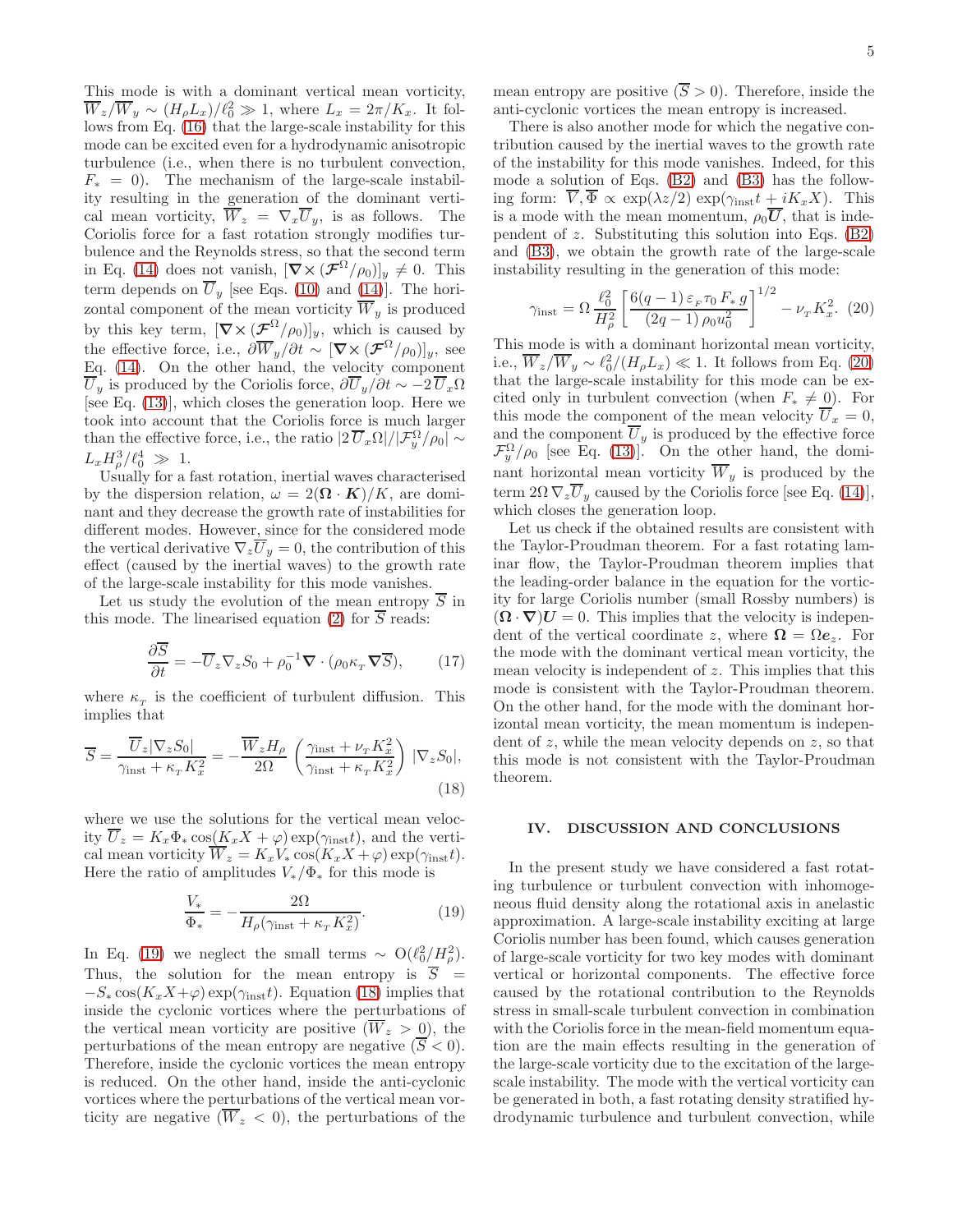This mode is with a dominant vertical mean vorticity,  $\overline{W}_z/\overline{W}_y \sim (H_{\rho}L_x)/\ell_0^2 \gg 1$ , where  $L_x = 2\pi/K_x$ . It follows from Eq. [\(16\)](#page-3-2) that the large-scale instability for this mode can be excited even for a hydrodynamic anisotropic turbulence (i.e., when there is no turbulent convection,  $F_* = 0$ ). The mechanism of the large-scale instability resulting in the generation of the dominant vertical mean vorticity,  $\overline{W}_z = \nabla_x \overline{U}_y$ , is as follows. The Coriolis force for a fast rotation strongly modifies turbulence and the Reynolds stress, so that the second term in Eq. [\(14\)](#page-3-1) does not vanish,  $[\nabla \times (\mathcal{F}^{\Omega}/\rho_0)]_y \neq 0$ . This term depends on  $\overline{U}_y$  [see Eqs. [\(10\)](#page-3-0) and [\(14\)](#page-3-1)]. The horizontal component of the mean vorticity  $\overline{W}_y$  is produced by this key term,  $[\nabla \times (\mathcal{F}^{\Omega}/\rho_0)]_y$ , which is caused by the effective force, i.e.,  $\partial \overline{W}_y / \partial t \sim [\nabla \times (\mathcal{F}^{\Omega}/\rho_0)]_y$ , see Eq. [\(14\)](#page-3-1). On the other hand, the velocity component  $\overline{U}_y$  is produced by the Coriolis force,  $\partial \overline{U}_y / \partial t \sim -2 \overline{U}_x \Omega$ [see Eq. [\(13\)](#page-3-1)], which closes the generation loop. Here we took into account that the Coriolis force is much larger than the effective force, i.e., the ratio  $|2 \overline{U}_x \Omega|/|\mathcal{F}_y^{\Omega}/\rho_0| \sim$  $L_x H_{\rho}^3 / \ell_0^4 \gg 1.$ 

Usually for a fast rotation, inertial waves characterised by the dispersion relation,  $\omega = 2(\mathbf{\Omega} \cdot \mathbf{K})/K$ , are dominant and they decrease the growth rate of instabilities for different modes. However, since for the considered mode the vertical derivative  $\nabla_z \overline{U}_y = 0$ , the contribution of this effect (caused by the inertial waves) to the growth rate of the large-scale instability for this mode vanishes.

Let us study the evolution of the mean entropy  $\overline{S}$  in this mode. The linearised equation [\(2\)](#page-1-0) for  $\overline{S}$  reads:

$$
\frac{\partial \overline{S}}{\partial t} = -\overline{U}_z \nabla_z S_0 + \rho_0^{-1} \nabla \cdot (\rho_0 \kappa_\tau \nabla \overline{S}), \qquad (17)
$$

where  $\kappa_T$  is the coefficient of turbulent diffusion. This implies that

<span id="page-4-1"></span>
$$
\overline{S} = \frac{\overline{U}_z |\nabla_z S_0|}{\gamma_{\text{inst}} + \kappa_\tau K_x^2} = -\frac{\overline{W}_z H_\rho}{2\Omega} \left( \frac{\gamma_{\text{inst}} + \nu_\tau K_x^2}{\gamma_{\text{inst}} + \kappa_\tau K_x^2} \right) |\nabla_z S_0|,\tag{18}
$$

where we use the solutions for the vertical mean velocity  $U_z = K_x \Phi_* \cos(K_x X + \varphi) \exp(\gamma_{\text{inst}} t)$ , and the vertical mean vorticity  $W_z = K_x V_* \cos(K_x X + \varphi) \exp(\gamma_{\rm inst} t).$ Here the ratio of amplitudes  $V_*/\Phi_*$  for this mode is

<span id="page-4-0"></span>
$$
\frac{V_*}{\Phi_*} = -\frac{2\Omega}{H_\rho(\gamma_{\rm inst} + \kappa_T K_x^2)}.\tag{19}
$$

In Eq. [\(19\)](#page-4-0) we neglect the small terms  $\sim O(\ell_0^2/H_\rho^2)$ . Thus, the solution for the mean entropy is  $\overline{S}$  =  $-S_* \cos(K_x X + \varphi) \exp(\gamma_{\rm inst} t)$ . Equation [\(18\)](#page-4-1) implies that inside the cyclonic vortices where the perturbations of the vertical mean vorticity are positive  $(\overline{W}_z > 0)$ , the perturbations of the mean entropy are negative  $(\overline{S} < 0)$ . Therefore, inside the cyclonic vortices the mean entropy is reduced. On the other hand, inside the anti-cyclonic vortices where the perturbations of the vertical mean vorticity are negative  $(\overline{W}_z < 0)$ , the perturbations of the

mean entropy are positive  $(\overline{S} > 0)$ . Therefore, inside the anti-cyclonic vortices the mean entropy is increased.

There is also another mode for which the negative contribution caused by the inertial waves to the growth rate of the instability for this mode vanishes. Indeed, for this mode a solution of Eqs. [\(B2\)](#page-9-0) and [\(B3\)](#page-9-0) has the following form:  $\overline{V}$ ,  $\overline{\Phi} \propto \exp(\lambda z/2) \exp(\gamma_{\rm inst} t + iK_x X)$ . This is a mode with the mean momentum,  $\rho_0 \overline{U}$ , that is independent of z. Substituting this solution into Eqs.  $(B2)$ and [\(B3\)](#page-9-0), we obtain the growth rate of the large-scale instability resulting in the generation of this mode:

<span id="page-4-2"></span>
$$
\gamma_{\text{inst}} = \Omega \frac{\ell_0^2}{H_\rho^2} \left[ \frac{6(q-1)\,\varepsilon_F \tau_0 \, F_* \, g}{(2q-1) \, \rho_0 u_0^2} \right]^{1/2} - \nu_\tau K_x^2. \tag{20}
$$

This mode is with a dominant horizontal mean vorticity, i.e.,  $\overline{W}_z/\overline{W}_y \sim \ell_0^2/(H_\rho L_x) \ll 1$ . It follows from Eq. [\(20\)](#page-4-2) that the large-scale instability for this mode can be excited only in turbulent convection (when  $F_* \neq 0$ ). For this mode the component of the mean velocity  $\overline{U}_x = 0$ , and the component  $U_y$  is produced by the effective force  $\mathcal{F}_y^{\Omega}/\rho_0$  [see Eq. [\(13\)](#page-3-1)]. On the other hand, the dominant horizontal mean vorticity  $\overline{W}_y$  is produced by the term  $2\Omega \nabla_z \overline{U}_y$  caused by the Coriolis force [see Eq. [\(14\)](#page-3-1)], which closes the generation loop.

Let us check if the obtained results are consistent with the Taylor-Proudman theorem. For a fast rotating laminar flow, the Taylor-Proudman theorem implies that the leading-order balance in the equation for the vorticity for large Coriolis number (small Rossby numbers) is  $(\mathbf{\Omega} \cdot \nabla) \mathbf{U} = 0$ . This implies that the velocity is independent of the vertical coordinate z, where  $\mathbf{\Omega} = \Omega \mathbf{e}_z$ . For the mode with the dominant vertical mean vorticity, the mean velocity is independent of z. This implies that this mode is consistent with the Taylor-Proudman theorem. On the other hand, for the mode with the dominant horizontal mean vorticity, the mean momentum is independent of  $z$ , while the mean velocity depends on  $z$ , so that this mode is not consistent with the Taylor-Proudman theorem.

#### IV. DISCUSSION AND CONCLUSIONS

In the present study we have considered a fast rotating turbulence or turbulent convection with inhomogeneous fluid density along the rotational axis in anelastic approximation. A large-scale instability exciting at large Coriolis number has been found, which causes generation of large-scale vorticity for two key modes with dominant vertical or horizontal components. The effective force caused by the rotational contribution to the Reynolds stress in small-scale turbulent convection in combination with the Coriolis force in the mean-field momentum equation are the main effects resulting in the generation of the large-scale vorticity due to the excitation of the largescale instability. The mode with the vertical vorticity can be generated in both, a fast rotating density stratified hydrodynamic turbulence and turbulent convection, while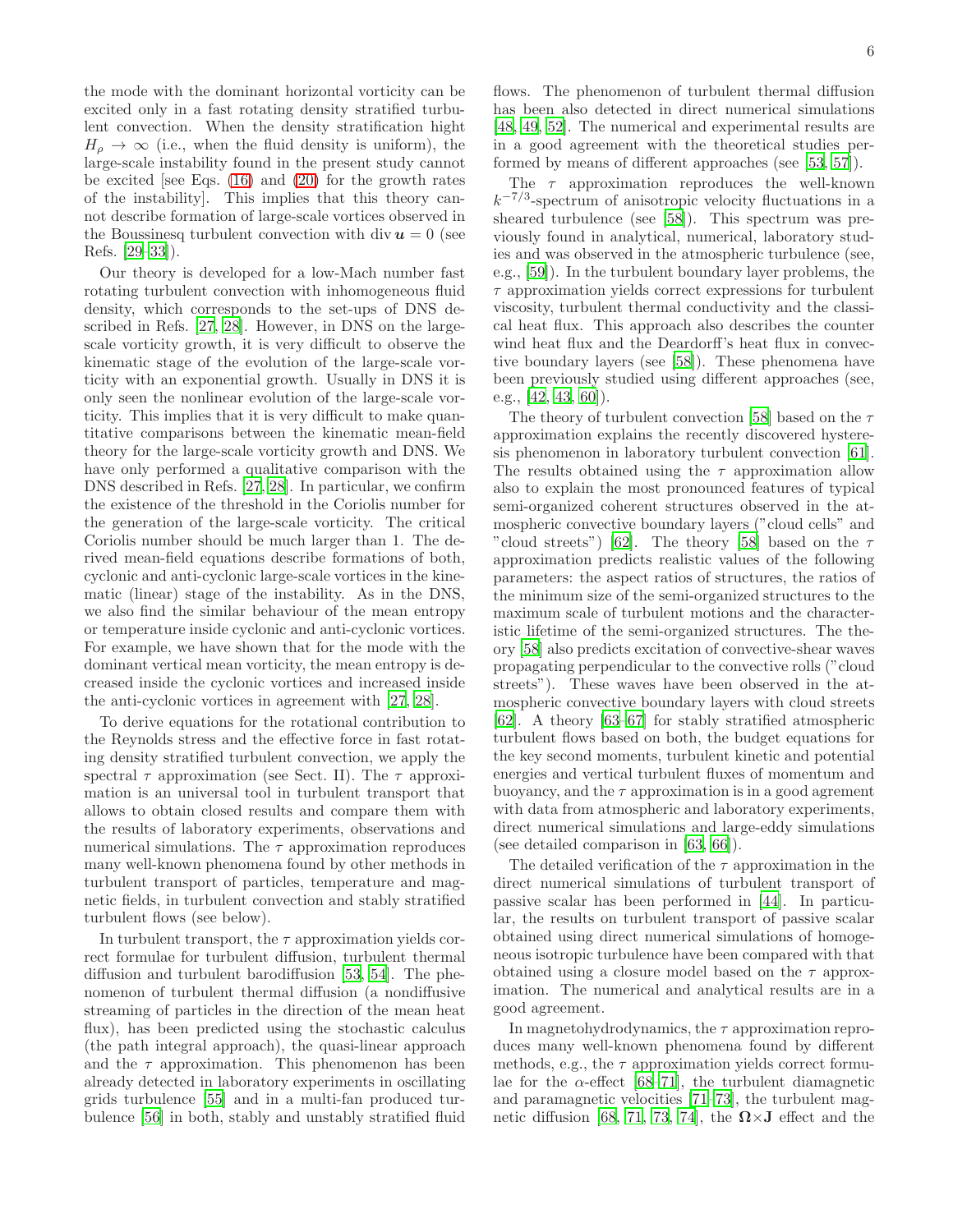the mode with the dominant horizontal vorticity can be excited only in a fast rotating density stratified turbulent convection. When the density stratification hight  $H_{\rho} \rightarrow \infty$  (i.e., when the fluid density is uniform), the large-scale instability found in the present study cannot be excited [see Eqs.  $(16)$  and  $(20)$  for the growth rates of the instability]. This implies that this theory cannot describe formation of large-scale vortices observed in the Boussinesq turbulent convection with div  $u = 0$  (see Refs. [\[29](#page-11-22)[–33\]](#page-11-23)).

Our theory is developed for a low-Mach number fast rotating turbulent convection with inhomogeneous fluid density, which corresponds to the set-ups of DNS described in Refs. [\[27,](#page-11-24) [28\]](#page-11-21). However, in DNS on the largescale vorticity growth, it is very difficult to observe the kinematic stage of the evolution of the large-scale vorticity with an exponential growth. Usually in DNS it is only seen the nonlinear evolution of the large-scale vorticity. This implies that it is very difficult to make quantitative comparisons between the kinematic mean-field theory for the large-scale vorticity growth and DNS. We have only performed a qualitative comparison with the DNS described in Refs. [\[27,](#page-11-24) [28](#page-11-21)]. In particular, we confirm the existence of the threshold in the Coriolis number for the generation of the large-scale vorticity. The critical Coriolis number should be much larger than 1. The derived mean-field equations describe formations of both, cyclonic and anti-cyclonic large-scale vortices in the kinematic (linear) stage of the instability. As in the DNS, we also find the similar behaviour of the mean entropy or temperature inside cyclonic and anti-cyclonic vortices. For example, we have shown that for the mode with the dominant vertical mean vorticity, the mean entropy is decreased inside the cyclonic vortices and increased inside the anti-cyclonic vortices in agreement with [\[27,](#page-11-24) [28\]](#page-11-21).

To derive equations for the rotational contribution to the Reynolds stress and the effective force in fast rotating density stratified turbulent convection, we apply the spectral  $\tau$  approximation (see Sect. II). The  $\tau$  approximation is an universal tool in turbulent transport that allows to obtain closed results and compare them with the results of laboratory experiments, observations and numerical simulations. The  $\tau$  approximation reproduces many well-known phenomena found by other methods in turbulent transport of particles, temperature and magnetic fields, in turbulent convection and stably stratified turbulent flows (see below).

In turbulent transport, the  $\tau$  approximation yields correct formulae for turbulent diffusion, turbulent thermal diffusion and turbulent barodiffusion [\[53,](#page-12-2) [54](#page-12-3)]. The phenomenon of turbulent thermal diffusion (a nondiffusive streaming of particles in the direction of the mean heat flux), has been predicted using the stochastic calculus (the path integral approach), the quasi-linear approach and the  $\tau$  approximation. This phenomenon has been already detected in laboratory experiments in oscillating grids turbulence [\[55\]](#page-12-4) and in a multi-fan produced turbulence [\[56\]](#page-12-5) in both, stably and unstably stratified fluid

flows. The phenomenon of turbulent thermal diffusion has been also detected in direct numerical simulations [\[48,](#page-12-6) [49,](#page-12-7) [52\]](#page-12-1). The numerical and experimental results are in a good agreement with the theoretical studies performed by means of different approaches (see [\[53,](#page-12-2) [57\]](#page-12-8)).

The  $\tau$  approximation reproduces the well-known  $k^{-7/3}$ -spectrum of anisotropic velocity fluctuations in a sheared turbulence (see [\[58\]](#page-12-9)). This spectrum was previously found in analytical, numerical, laboratory studies and was observed in the atmospheric turbulence (see, e.g., [\[59](#page-12-10)]). In the turbulent boundary layer problems, the  $\tau$  approximation yields correct expressions for turbulent viscosity, turbulent thermal conductivity and the classical heat flux. This approach also describes the counter wind heat flux and the Deardorff's heat flux in convective boundary layers (see [\[58](#page-12-9)]). These phenomena have been previously studied using different approaches (see, e.g., [\[42,](#page-11-32) [43,](#page-11-33) [60\]](#page-12-11)).

The theory of turbulent convection [\[58\]](#page-12-9) based on the  $\tau$ approximation explains the recently discovered hysteresis phenomenon in laboratory turbulent convection [\[61\]](#page-12-12). The results obtained using the  $\tau$  approximation allow also to explain the most pronounced features of typical semi-organized coherent structures observed in the atmospheric convective boundary layers ("cloud cells" and "cloud streets") [\[62\]](#page-12-13). The theory [\[58](#page-12-9)] based on the  $\tau$ approximation predicts realistic values of the following parameters: the aspect ratios of structures, the ratios of the minimum size of the semi-organized structures to the maximum scale of turbulent motions and the characteristic lifetime of the semi-organized structures. The theory [\[58\]](#page-12-9) also predicts excitation of convective-shear waves propagating perpendicular to the convective rolls ("cloud streets"). These waves have been observed in the atmospheric convective boundary layers with cloud streets [\[62\]](#page-12-13). A theory [\[63](#page-12-14)[–67](#page-12-15)] for stably stratified atmospheric turbulent flows based on both, the budget equations for the key second moments, turbulent kinetic and potential energies and vertical turbulent fluxes of momentum and buoyancy, and the  $\tau$  approximation is in a good agreemnt with data from atmospheric and laboratory experiments, direct numerical simulations and large-eddy simulations (see detailed comparison in [\[63,](#page-12-14) [66\]](#page-12-16)).

The detailed verification of the  $\tau$  approximation in the direct numerical simulations of turbulent transport of passive scalar has been performed in [\[44](#page-12-0)]. In particular, the results on turbulent transport of passive scalar obtained using direct numerical simulations of homogeneous isotropic turbulence have been compared with that obtained using a closure model based on the  $\tau$  approximation. The numerical and analytical results are in a good agreement.

In magnetohydrodynamics, the  $\tau$  approximation reproduces many well-known phenomena found by different methods, e.g., the  $\tau$  approximation yields correct formulae for the  $\alpha$ -effect [\[68](#page-12-17)[–71\]](#page-12-18), the turbulent diamagnetic and paramagnetic velocities [\[71](#page-12-18)[–73\]](#page-12-19), the turbulent mag-netic diffusion [\[68,](#page-12-17) [71,](#page-12-18) [73,](#page-12-19) [74\]](#page-12-20), the  $\Omega \times J$  effect and the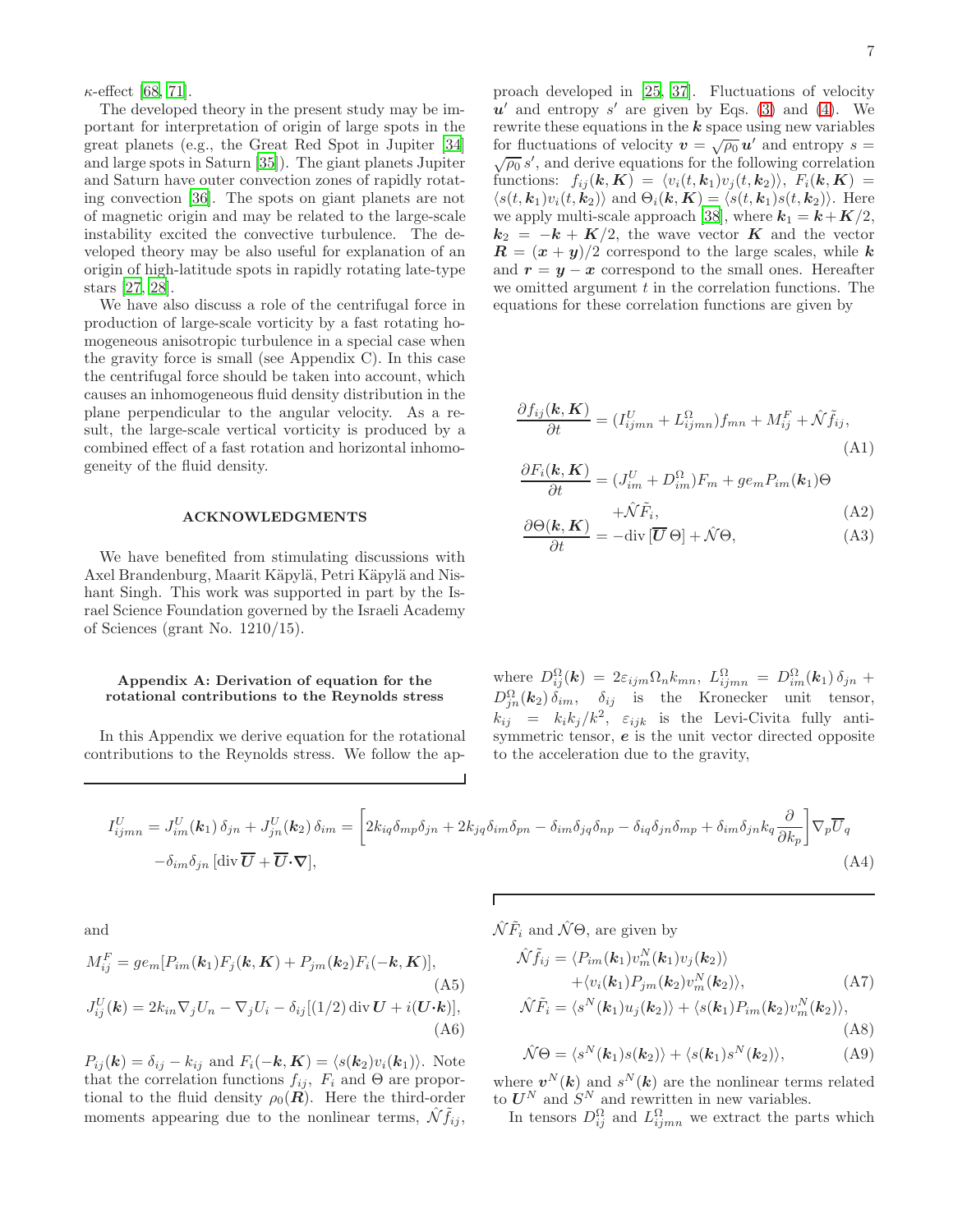$\kappa$ -effect [\[68](#page-12-17), [71](#page-12-18)].

The developed theory in the present study may be important for interpretation of origin of large spots in the great planets (e.g., the Great Red Spot in Jupiter [\[34](#page-11-25)] and large spots in Saturn [\[35\]](#page-11-34)). The giant planets Jupiter and Saturn have outer convection zones of rapidly rotating convection [\[36\]](#page-11-26). The spots on giant planets are not of magnetic origin and may be related to the large-scale instability excited the convective turbulence. The developed theory may be also useful for explanation of an origin of high-latitude spots in rapidly rotating late-type stars [\[27,](#page-11-24) [28\]](#page-11-21).

We have also discuss a role of the centrifugal force in production of large-scale vorticity by a fast rotating homogeneous anisotropic turbulence in a special case when the gravity force is small (see Appendix C). In this case the centrifugal force should be taken into account, which causes an inhomogeneous fluid density distribution in the plane perpendicular to the angular velocity. As a result, the large-scale vertical vorticity is produced by a combined effect of a fast rotation and horizontal inhomogeneity of the fluid density.

#### ACKNOWLEDGMENTS

We have benefited from stimulating discussions with Axel Brandenburg, Maarit Käpylä, Petri Käpylä and Nishant Singh. This work was supported in part by the Israel Science Foundation governed by the Israeli Academy of Sciences (grant No. 1210/15).

## Appendix A: Derivation of equation for the rotational contributions to the Reynolds stress

In this Appendix we derive equation for the rotational contributions to the Reynolds stress. We follow the ap-

proach developed in [\[25,](#page-11-19) [37\]](#page-11-27). Fluctuations of velocity  $u'$  and entropy s' are given by Eqs. [\(3\)](#page-1-1) and [\(4\)](#page-1-1). We rewrite these equations in the  $k$  space using new variables for fluctuations of velocity  $v = \sqrt{\rho_0} u'$  and entropy  $s = \sqrt{\rho_0} s'$  and derive equations for the following correlation  $\overline{\rho_0} s'$ , and derive equations for the following correlation functions:  $f_{ij}(\mathbf{k}, \mathbf{K}) = \langle v_i(t, \mathbf{k}_1)v_j(t, \mathbf{k}_2)\rangle, F_i(\mathbf{k}, \mathbf{K}) =$  $\langle s(t, k_1)v_i(t, k_2)\rangle$  and  $\Theta_i(\mathbf{k}, \mathbf{K}) = \langle s(t, k_1)s(t, k_2)\rangle$ . Here we apply multi-scale approach [\[38\]](#page-11-28), where  $k_1 = k + K/2$ ,  $k_2 = -k + K/2$ , the wave vector K and the vector  $\mathbf{R} = (\mathbf{x} + \mathbf{y})/2$  correspond to the large scales, while k and  $r = y - x$  correspond to the small ones. Hereafter we omitted argument  $t$  in the correlation functions. The equations for these correlation functions are given by

<span id="page-6-0"></span>
$$
\frac{\partial f_{ij}(\mathbf{k}, \mathbf{K})}{\partial t} = (I_{ijmn}^U + I_{ijmn}^{\Omega})f_{mn} + M_{ij}^F + \hat{\mathcal{N}}\tilde{f}_{ij},
$$
\n(A1)

$$
\frac{\partial F_i(\mathbf{k}, \mathbf{K})}{\partial t} = (J_{im}^U + D_{im}^{\Omega})F_m + g e_m P_{im}(\mathbf{k}_1) \Theta
$$

$$
\frac{\partial \Theta(\mathbf{k}, \mathbf{K})}{\partial \Theta(\mathbf{k}, \mathbf{K})} + \frac{\hat{\mathcal{N}} \tilde{F}_i}{\mathbf{L} \mathbf{L} \mathbf{L} \mathbf{L} \mathbf{L} \hat{\mathbf{L}} \mathbf{L} \mathbf{L} \mathbf{L} \hat{\mathbf{L}} \mathbf{L} \mathbf{L} \mathbf{L} \mathbf{L} \mathbf{L} \mathbf{L} \mathbf{L} \mathbf{L} \mathbf{L} \mathbf{L} \mathbf{L} \mathbf{L} \mathbf{L} \mathbf{L} \mathbf{L} \mathbf{L} \mathbf{L} \mathbf{L} \mathbf{L} \mathbf{L} \mathbf{L} \mathbf{L} \mathbf{L} \mathbf{L} \mathbf{L} \mathbf{L} \mathbf{L} \mathbf{L} \mathbf{L} \mathbf{L} \mathbf{L} \mathbf{L} \mathbf{L} \mathbf{L} \mathbf{L} \mathbf{L} \mathbf{L} \mathbf{L} \mathbf{L} \mathbf{L} \mathbf{L} \mathbf{L} \mathbf{L} \mathbf{L} \mathbf{L} \mathbf{L} \mathbf{L} \mathbf{L} \mathbf{L} \mathbf{L} \mathbf{L} \mathbf{L} \mathbf{L} \mathbf{L} \mathbf{L} \mathbf{L} \mathbf{L} \mathbf{L} \mathbf{L} \mathbf{L} \mathbf{L} \mathbf{L} \mathbf{L} \mathbf{L} \mathbf{L} \mathbf{L} \mathbf{L} \mathbf{L} \mathbf{L} \mathbf{L} \mathbf{L} \mathbf{L} \mathbf{L} \mathbf{L} \mathbf{L} \mathbf{L} \mathbf{L} \mathbf{L} \mathbf{L} \mathbf{L} \mathbf{L} \mathbf{L} \mathbf{L} \mathbf{L} \mathbf{L} \mathbf{L} \mathbf{L} \mathbf{L} \mathbf{L} \mathbf{L} \mathbf{L} \mathbf{L} \mathbf{L} \mathbf{L} \mathbf{L} \mathbf{L} \mathbf{L} \mathbf{L} \mathbf{L} \mathbf{L} \mathbf{L} \mathbf{L} \mathbf{L} \mathbf{L} \mathbf{L} \mathbf{L} \mathbf{L} \
$$

$$
\frac{\partial \Theta(\kappa, \mathbf{A})}{\partial t} = -\text{div}[\overline{\mathbf{U}} \,\Theta] + \hat{\mathcal{N}} \Theta,\tag{A3}
$$

where  $D_{ij}^{\Omega}(\mathbf{k}) = 2\varepsilon_{ijm} \Omega_n k_{mn}, L_{ijmn}^{\Omega} = D_{im}^{\Omega}(\mathbf{k}_1) \delta_{jn} +$  $D_{jn}^{\Omega}(\mathbf{k}_2) \delta_{im}, \quad \delta_{ij}$  is the Kronecker unit tensor,  $k_{ij}$  =  $k_i k_j / k^2$ ,  $\varepsilon_{ijk}$  is the Levi-Civita fully antisymmetric tensor,  $e$  is the unit vector directed opposite to the acceleration due to the gravity,

$$
I_{ijmn}^U = J_{im}^U(\mathbf{k}_1) \,\delta_{jn} + J_{jn}^U(\mathbf{k}_2) \,\delta_{im} = \left[2k_{iq}\delta_{mp}\delta_{jn} + 2k_{jq}\delta_{im}\delta_{pn} - \delta_{im}\delta_{jq}\delta_{np} - \delta_{iq}\delta_{jn}\delta_{mp} + \delta_{im}\delta_{jn}k_q\frac{\partial}{\partial k_p}\right]\nabla_p\overline{U}_q
$$
\n
$$
-\delta_{im}\delta_{jn}\left[\text{div}\,\overline{\mathbf{U}} + \overline{\mathbf{U}}\cdot\mathbf{\nabla}\right],\tag{A4}
$$

and

$$
M_{ij}^{F} = ge_m[P_{im}(\mathbf{k}_1)F_j(\mathbf{k}, \mathbf{K}) + P_{jm}(\mathbf{k}_2)F_i(-\mathbf{k}, \mathbf{K})],
$$
\n(A5)\n
$$
J_{ij}^{U}(\mathbf{k}) = 2k_{in}\nabla_j U_n - \nabla_j U_i - \delta_{ij}[(1/2)\operatorname{div} \mathbf{U} + i(\mathbf{U} \cdot \mathbf{k})],
$$
\n(A6)

 $P_{ij}(\mathbf{k}) = \delta_{ij} - k_{ij}$  and  $F_i(-\mathbf{k}, \mathbf{K}) = \langle s(\mathbf{k}_2)v_i(\mathbf{k}_1)\rangle$ . Note that the correlation functions  $f_{ij}$ ,  $F_i$  and  $\Theta$  are proportional to the fluid density  $\rho_0(\mathbf{R})$ . Here the third-order moments appearing due to the nonlinear terms,  $\mathcal{N} f_{ij}$ ,  $\mathcal{N}\tilde{F}_i$  and  $\mathcal{N}\Theta$ , are given by

$$
\hat{\mathcal{N}}\tilde{f}_{ij} = \langle P_{im}(\mathbf{k}_1)v_m^N(\mathbf{k}_1)v_j(\mathbf{k}_2)\rangle \n+ \langle v_i(\mathbf{k}_1)P_{jm}(\mathbf{k}_2)v_m^N(\mathbf{k}_2)\rangle,
$$
\n(A7)

$$
\hat{\mathcal{N}}\tilde{F}_i = \langle s^N(\boldsymbol{k}_1)u_j(\boldsymbol{k}_2)\rangle + \langle s(\boldsymbol{k}_1)P_{im}(\boldsymbol{k}_2)v_m^N(\boldsymbol{k}_2)\rangle, \tag{A8}
$$

$$
\hat{\mathcal{N}}\Theta = \langle s^N(\mathbf{k}_1)s(\mathbf{k}_2)\rangle + \langle s(\mathbf{k}_1)s^N(\mathbf{k}_2)\rangle, \tag{A9}
$$

where  $v^N(k)$  and  $s^N(k)$  are the nonlinear terms related to  $U^N$  and  $S^N$  and rewritten in new variables.

In tensors  $D_{ij}^{\Omega}$  and  $L_{ijmn}^{\Omega}$  we extract the parts which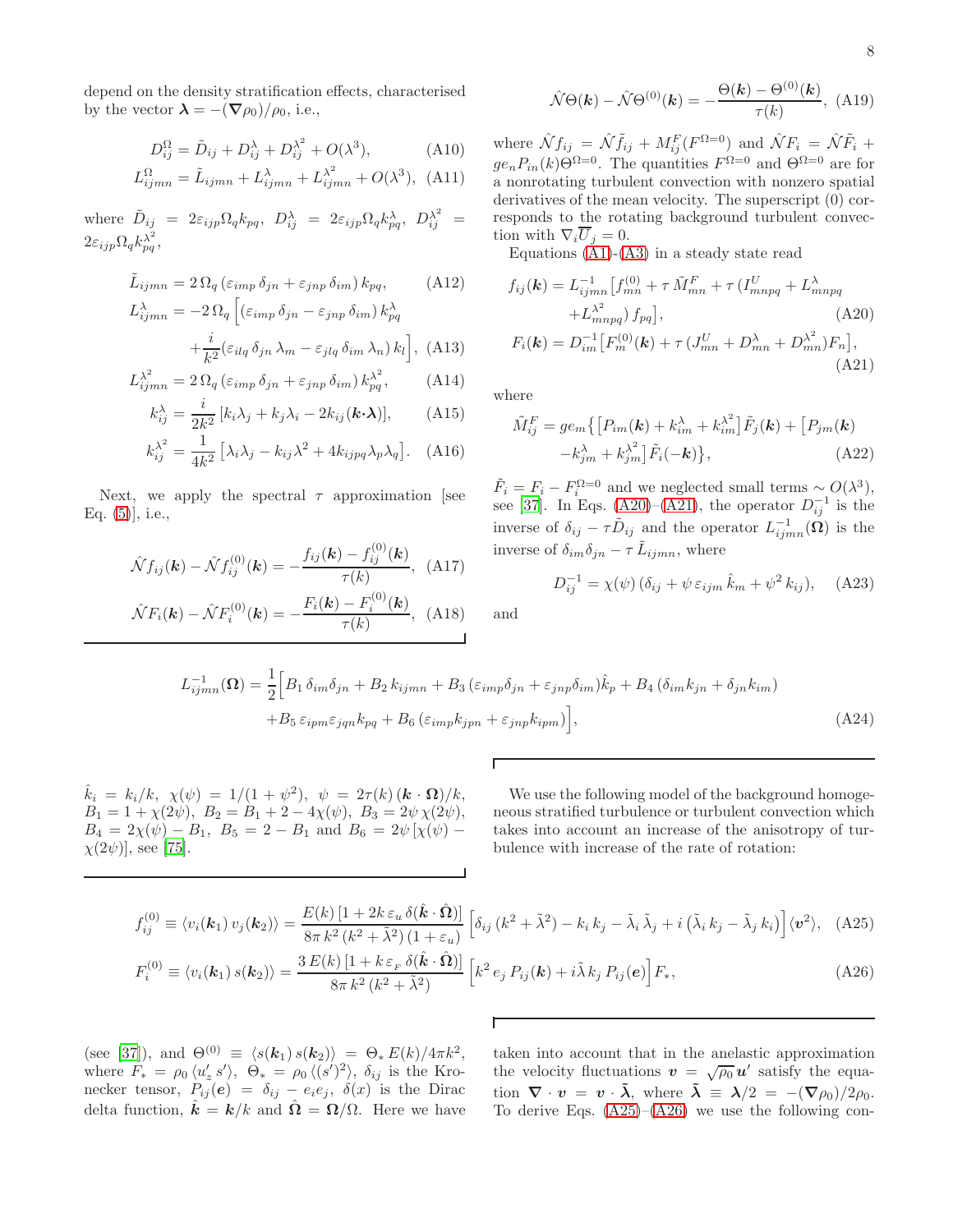depend on the density stratification effects, characterised by the vector  $\lambda = -(\nabla \rho_0)/\rho_0$ , i.e.,

$$
D_{ij}^{\Omega} = \tilde{D}_{ij} + D_{ij}^{\lambda} + D_{ij}^{\lambda^2} + O(\lambda^3),
$$
 (A10)

$$
L_{ijmn}^{\Omega} = \tilde{L}_{ijmn} + L_{ijmn}^{\lambda} + L_{ijmn}^{\lambda^2} + O(\lambda^3), \text{ (A11)}
$$

where  $\tilde{D}_{ij}$  =  $2\varepsilon_{ijp}\Omega_q k_{pq}$ ,  $D_{ij}^{\lambda}$  =  $2\varepsilon_{ijp}\Omega_q k_{pq}^{\lambda}$ ,  $D_{ij}^{\lambda^2}$  =  $2\varepsilon_{ijp}\Omega_q k_{pq}^{\lambda^2},$ 

$$
\tilde{L}_{ijmn} = 2\,\Omega_q \left(\varepsilon_{imp}\,\delta_{jn} + \varepsilon_{jnp}\,\delta_{im}\right) k_{pq},\tag{A12}
$$

$$
L_{ijmn}^{\lambda} = -2 \Omega_q \left[ \left( \varepsilon_{imp} \, \delta_{jn} - \varepsilon_{jnp} \, \delta_{im} \right) k_{pq}^{\lambda} + \frac{i}{k^2} (\varepsilon_{ilq} \, \delta_{jn} \, \lambda_m - \varepsilon_{jlq} \, \delta_{im} \, \lambda_n) \, k_l \right], \tag{A13}
$$

$$
L_{ijmn}^{\lambda^2} = 2 \Omega_q \left( \varepsilon_{imp} \, \delta_{jn} + \varepsilon_{jnp} \, \delta_{im} \right) k_{pq}^{\lambda^2},\tag{A14}
$$

$$
k_{ij}^{\lambda} = \frac{i}{2k^2} \left[ k_i \lambda_j + k_j \lambda_i - 2k_{ij} (\boldsymbol{k} \cdot \boldsymbol{\lambda}) \right], \qquad (A15)
$$

$$
k_{ij}^{\lambda^2} = \frac{1}{4k^2} \left[ \lambda_i \lambda_j - k_{ij} \lambda^2 + 4k_{ijpq} \lambda_p \lambda_q \right]. \quad (A16)
$$

Next, we apply the spectral  $\tau$  approximation [see Eq. [\(5\)](#page-2-0)], i.e.,

<span id="page-7-0"></span>
$$
\hat{\mathcal{N}}f_{ij}(\mathbf{k}) - \hat{\mathcal{N}}f_{ij}^{(0)}(\mathbf{k}) = -\frac{f_{ij}(\mathbf{k}) - f_{ij}^{(0)}(\mathbf{k})}{\tau(k)}, \tag{A17}
$$

$$
\hat{\mathcal{N}}F_i(\mathbf{k}) - \hat{\mathcal{N}}F_i^{(0)}(\mathbf{k}) = -\frac{F_i(\mathbf{k}) - F_i^{(0)}(\mathbf{k})}{\tau(k)}, \tag{A18}
$$

$$
\hat{\mathcal{N}}\Theta(\mathbf{k}) - \hat{\mathcal{N}}\Theta^{(0)}(\mathbf{k}) = -\frac{\Theta(\mathbf{k}) - \Theta^{(0)}(\mathbf{k})}{\tau(\mathbf{k})}, \text{ (A1)}
$$

 $\frac{\sigma(\kappa)}{\tau(k)}$ , (A19)

8

where  $\hat{\mathcal{N}} f_{ij} = \hat{\mathcal{N}} \tilde{f}_{ij} + M_{ij}^F (F^{\Omega=0})$  and  $\hat{\mathcal{N}} F_i = \hat{\mathcal{N}} \tilde{F}_i$  +  $ge_n P_{in}(k) \Theta^{\Omega=0}$ . The quantities  $F^{\Omega=0}$  and  $\Theta^{\Omega=0}$  are for a nonrotating turbulent convection with nonzero spatial derivatives of the mean velocity. The superscript (0) corresponds to the rotating background turbulent convection with  $\nabla_i \overline{U}_i = 0$ .

Equations  $(A1)-(A3)$  $(A1)-(A3)$  in a steady state read

<span id="page-7-2"></span>
$$
f_{ij}(\mathbf{k}) = L_{ijmn}^{-1} [f_{mn}^{(0)} + \tau \tilde{M}_{mn}^F + \tau (I_{mnpq}^U + L_{mnpq}^{\lambda} + L_{mnpq}^{\lambda^2}) f_{pq}],
$$
\n(A20)  
\n
$$
F_i(\mathbf{k}) = D_{im}^{-1} [F_m^{(0)}(\mathbf{k}) + \tau (J_{mn}^U + D_{mn}^{\lambda} + D_{mn}^{\lambda^2}) F_n],
$$
\n(A21)

where

$$
\tilde{M}_{ij}^F = ge_m \{ \left[ P_{im}(\mathbf{k}) + k_{im}^{\lambda} + k_{im}^{\lambda^2} \right] \tilde{F}_j(\mathbf{k}) + \left[ P_{jm}(\mathbf{k}) - k_{jm}^{\lambda} + k_{jm}^{\lambda^2} \right] \tilde{F}_i(-\mathbf{k}) \},\tag{A22}
$$

 $\tilde{F}_i = F_i - F_i^{\Omega=0}$  and we neglected small terms ~  $O(\lambda^3)$ , see [\[37\]](#page-11-27). In Eqs. [\(A20\)](#page-7-2)–[\(A21\)](#page-7-2), the operator  $D_{ij}^{-1}$  is the inverse of  $\delta_{ij} - \tau \tilde{D}_{ij}$  and the operator  $L^{-1}_{ijmn}(\Omega)$  is the inverse of  $\delta_{im}\delta_{jn} - \tau \tilde{L}_{ijmn}$ , where

$$
D_{ij}^{-1} = \chi(\psi) \left( \delta_{ij} + \psi \, \varepsilon_{ijm} \, \hat{k}_m + \psi^2 \, k_{ij} \right), \quad \text{(A23)}
$$

and

$$
L_{ijmn}^{-1}(\Omega) = \frac{1}{2} \Big[ B_1 \,\delta_{im}\delta_{jn} + B_2 \,k_{ijmn} + B_3 \left( \varepsilon_{imp}\delta_{jn} + \varepsilon_{jnp}\delta_{im} \right) \hat{k}_p + B_4 \left( \delta_{im}k_{jn} + \delta_{jn}k_{im} \right) + B_5 \,\varepsilon_{ipm}\varepsilon_{jqn}k_{pq} + B_6 \left( \varepsilon_{imp}k_{jpn} + \varepsilon_{jnp}k_{ipm} \right) \Big],
$$
\n(A24)

 $\hat{k}_i = k_i/k, \chi(\psi) = 1/(1 + \psi^2), \psi = 2\tau(k) (\mathbf{k} \cdot \mathbf{\Omega})/k,$  $B_1 = 1 + \chi(2\psi), B_2 = B_1 + 2 - 4\chi(\psi), B_3 = 2\psi \chi(2\psi),$  $B_4 = 2\chi(\psi) - B_1$ ,  $B_5 = 2 - B_1$  and  $B_6 = 2\psi[\chi(\psi) \chi(2\psi)$ ], see [\[75\]](#page-12-21).

We use the following model of the background homogeneous stratified turbulence or turbulent convection which takes into account an increase of the anisotropy of turbulence with increase of the rate of rotation:

<span id="page-7-1"></span>
$$
f_{ij}^{(0)} \equiv \langle v_i(\mathbf{k}_1) v_j(\mathbf{k}_2) \rangle = \frac{E(k) \left[ 1 + 2k \,\varepsilon_u \,\delta(\hat{\mathbf{k}} \cdot \hat{\mathbf{\Omega}}) \right]}{8\pi \,k^2 \left( k^2 + \tilde{\lambda}^2 \right) \left( 1 + \varepsilon_u \right)} \left[ \delta_{ij} \left( k^2 + \tilde{\lambda}^2 \right) - k_i \,k_j - \tilde{\lambda}_i \,\tilde{\lambda}_j + i \left( \tilde{\lambda}_i \,k_j - \tilde{\lambda}_j \,k_i \right) \right] \langle \mathbf{v}^2 \rangle, \tag{A25}
$$

$$
F_i^{(0)} \equiv \langle v_i(\mathbf{k}_1) s(\mathbf{k}_2) \rangle = \frac{3 E(k) \left[ 1 + k \varepsilon_F \delta(\hat{\mathbf{k}} \cdot \hat{\mathbf{\Omega}}) \right]}{8 \pi k^2 (k^2 + \tilde{\lambda}^2)} \left[ k^2 e_j P_{ij}(\mathbf{k}) + i \tilde{\lambda} k_j P_{ij}(\mathbf{e}) \right] F_*, \tag{A26}
$$

Г

(see [\[37](#page-11-27)]), and  $\Theta^{(0)} \equiv \langle s(\mathbf{k}_1) s(\mathbf{k}_2) \rangle = \Theta_* E(k)/4\pi k^2$ , where  $F_* = \rho_0 \langle u'_z s' \rangle$ ,  $\Theta_* = \rho_0 \langle (s')^2 \rangle$ ,  $\delta_{ij}$  is the Kronecker tensor,  $P_{ij}(e) = \delta_{ij} - e_i e_j$ ,  $\delta(x)$  is the Dirac delta function,  $\hat{\mathbf{k}} = \mathbf{k}/k$  and  $\hat{\mathbf{\Omega}} = \mathbf{\Omega}/\Omega$ . Here we have taken into account that in the anelastic approximation the velocity fluctuations  $\mathbf{v} = \sqrt{\rho_0} \mathbf{u}'$  satisfy the equation  $\nabla \cdot v = v \cdot \tilde{\lambda}$ , where  $\tilde{\lambda} \equiv \lambda/2 = -(\nabla \rho_0)/2\rho_0$ . To derive Eqs.  $(A25)$ – $(A26)$  we use the following con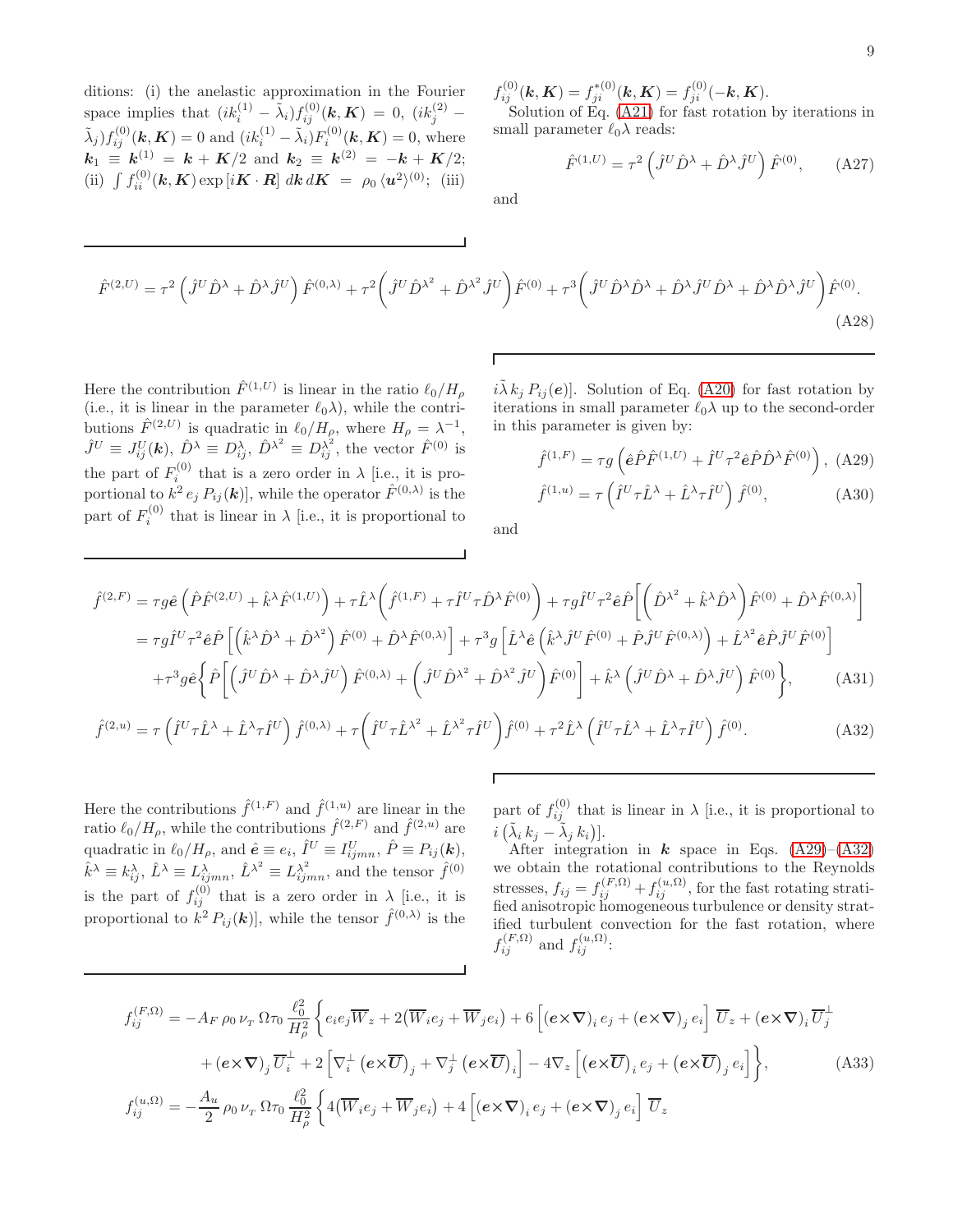ditions: (i) the anelastic approximation in the Fourier space implies that  $(ik_i^{(1)} - \tilde{\lambda}_i) f_{ij}^{(0)}(\mathbf{k}, \mathbf{K}) = 0$ ,  $(ik_j^{(2)} (\tilde{\lambda}_j) f_{ij}^{(0)}(\mathbf{k}, \mathbf{K}) = 0$  and  $(ik_i^{(1)} - \tilde{\lambda}_i) F_i^{(0)}(\mathbf{k}, \mathbf{K}) = 0$ , where  $k_1 \equiv k^{(1)} = k + K/2$  and  $k_2 \equiv k^{(2)} = -k + K/2;$ (ii)  $\int f_{ii}^{(0)}(\mathbf{k}, \mathbf{K}) \exp[i\mathbf{K} \cdot \mathbf{R}] \, d\mathbf{k} \, d\mathbf{K} = \rho_0 \langle \mathbf{u}^2 \rangle^{(0)};$  (iii)  $f_{ij}^{(0)}(\mathbf{k},\mathbf{K})=f_{ji}^{*(0)}(\mathbf{k},\mathbf{K})=f_{ji}^{(0)}(-\mathbf{k},\mathbf{K}).$ 

Solution of Eq. [\(A21\)](#page-7-2) for fast rotation by iterations in small parameter  $\ell_0 \lambda$  reads:

$$
\hat{F}^{(1,U)} = \tau^2 \left( \hat{J}^U \hat{D}^\lambda + \hat{D}^\lambda \hat{J}^U \right) \hat{F}^{(0)}, \quad (A27)
$$

and

$$
\hat{F}^{(2,U)} = \tau^2 \left( \hat{J}^U \hat{D}^\lambda + \hat{D}^\lambda \hat{J}^U \right) \hat{F}^{(0,\lambda)} + \tau^2 \left( \hat{J}^U \hat{D}^{\lambda^2} + \hat{D}^{\lambda^2} \hat{J}^U \right) \hat{F}^{(0)} + \tau^3 \left( \hat{J}^U \hat{D}^\lambda \hat{D}^\lambda + \hat{D}^\lambda \hat{J}^U \hat{D}^\lambda + \hat{D}^\lambda \hat{D}^\lambda \hat{J}^U \right) \hat{F}^{(0)}.
$$
\n(A28)

Here the contribution  $\hat{F}^{(1,U)}$  is linear in the ratio  $\ell_0/H_\rho$ (i.e., it is linear in the parameter  $\ell_0 \lambda$ ), while the contributions  $\hat{F}^{(2,U)}$  is quadratic in  $\ell_0/H_\rho$ , where  $H_\rho = \lambda^{-1}$ ,  $\hat{J}^U \equiv J_{ij}^U(\boldsymbol{k}), \,\hat{D}^{\lambda} \equiv D_{ij}^{\lambda}, \,\hat{D}^{\lambda^2} \equiv D_{ij}^{\lambda^2},$  the vector  $\hat{F}^{(0)}$  is the part of  $F_i^{(0)}$  that is a zero order in  $\lambda$  [i.e., it is proportional to  $k^2 e_j P_{ij}(\mathbf{k})$ , while the operator  $\hat{F}^{(0,\lambda)}$  is the part of  $F_i^{(0)}$  $i^{(0)}$  that is linear in  $\lambda$  [i.e., it is proportional to

 $i\tilde{\lambda} k_j P_{ij}(e)$ . Solution of Eq. [\(A20\)](#page-7-2) for fast rotation by iterations in small parameter  $\ell_0 \lambda$  up to the second-order in this parameter is given by:

<span id="page-8-1"></span>
$$
\hat{f}^{(1,F)} = \tau g \left( \hat{e} \hat{P} \hat{F}^{(1,U)} + \hat{I}^U \tau^2 \hat{e} \hat{P} \hat{D}^\lambda \hat{F}^{(0)} \right), \ (A29)
$$

$$
\hat{f}^{(1,u)} = \tau \left( \hat{I}^U \tau \hat{L}^\lambda + \hat{L}^\lambda \tau \hat{I}^U \right) \hat{f}^{(0)}, \tag{A30}
$$

and

<span id="page-8-2"></span>
$$
\hat{f}^{(2,F)} = \tau g \hat{e} \left( \hat{P} \hat{F}^{(2,U)} + \hat{k}^{\lambda} \hat{F}^{(1,U)} \right) + \tau \hat{L}^{\lambda} \left( \hat{f}^{(1,F)} + \tau \hat{I}^{U} \tau \hat{D}^{\lambda} \hat{F}^{(0)} \right) + \tau g \hat{I}^{U} \tau^{2} \hat{e} \hat{P} \left[ \left( \hat{D}^{\lambda^{2}} + \hat{k}^{\lambda} \hat{D}^{\lambda} \right) \hat{F}^{(0)} + \hat{D}^{\lambda} \hat{F}^{(0,\lambda)} \right]
$$
\n
$$
= \tau g \hat{I}^{U} \tau^{2} \hat{e} \hat{P} \left[ \left( \hat{k}^{\lambda} \hat{D}^{\lambda} + \hat{D}^{\lambda^{2}} \right) \hat{F}^{(0)} + \hat{D}^{\lambda} \hat{F}^{(0,\lambda)} \right] + \tau^{3} g \left[ \hat{L}^{\lambda} \hat{e} \left( \hat{k}^{\lambda} \hat{J}^{U} \hat{F}^{(0)} + \hat{P} \hat{J}^{U} \hat{F}^{(0,\lambda)} \right) + \hat{L}^{\lambda^{2}} \hat{e} \hat{P} \hat{J}^{U} \hat{F}^{(0)} \right]
$$
\n
$$
+ \tau^{3} g \hat{e} \left\{ \hat{P} \left[ \left( \hat{J}^{U} \hat{D}^{\lambda} + \hat{D}^{\lambda} \hat{J}^{U} \right) \hat{F}^{(0,\lambda)} + \left( \hat{J}^{U} \hat{D}^{\lambda^{2}} + \hat{D}^{\lambda^{2}} \hat{J}^{U} \right) \hat{F}^{(0)} \right] + \hat{k}^{\lambda} \left( \hat{J}^{U} \hat{D}^{\lambda} + \hat{D}^{\lambda} \hat{J}^{U} \right) \hat{F}^{(0)} \right\}, \tag{A31}
$$

$$
\hat{f}^{(2,u)} = \tau \left( \hat{I}^U \tau \hat{L}^\lambda + \hat{L}^\lambda \tau \hat{I}^U \right) \hat{f}^{(0,\lambda)} + \tau \left( \hat{I}^U \tau \hat{L}^{\lambda^2} + \hat{L}^{\lambda^2} \tau \hat{I}^U \right) \hat{f}^{(0)} + \tau^2 \hat{L}^\lambda \left( \hat{I}^U \tau \hat{L}^\lambda + \hat{L}^\lambda \tau \hat{I}^U \right) \hat{f}^{(0)}.\tag{A32}
$$

Here the contributions  $\hat{f}^{(1,F)}$  and  $\hat{f}^{(1,u)}$  are linear in the ratio  $\ell_0/H_\rho$ , while the contributions  $\hat{f}^{(2,F)}$  and  $\hat{f}^{(2,u)}$  are quadratic in  $\ell_0/H_\rho$ , and  $\hat{\boldsymbol{e}} \equiv e_i$ ,  $\hat{I}^U \equiv I^U_{ijmn}$ ,  $\hat{P} \equiv P_{ij}(\boldsymbol{k})$ ,  $\hat{k}^{\lambda} \equiv k_{ij}^{\lambda}, \,\hat{L}^{\lambda} \equiv L_{ijmn}^{\lambda}, \,\hat{L}^{\lambda^2} \equiv L_{ijmn}^{\lambda^2},$  and the tensor  $\hat{f}^{(0)}$ is the part of  $f_{ij}^{(0)}$  that is a zero order in  $\lambda$  [i.e., it is proportional to  $k^2 P_{ij}(\mathbf{k})$ , while the tensor  $\hat{f}^{(0,\lambda)}$  is the part of  $f_{ij}^{(0)}$  that is linear in  $\lambda$  [i.e., it is proportional to  $i\left(\tilde{\lambda}_i k_j - \tilde{\lambda}_j k_i\right)].$ 

After integration in  $\boldsymbol{k}$  space in Eqs. [\(A29\)](#page-8-1)–[\(A32\)](#page-8-2) we obtain the rotational contributions to the Reynolds stresses,  $f_{ij} = f_{ij}^{(F,\Omega)} + f_{ij}^{(u,\Omega)}$ , for the fast rotating stratified anisotropic homogeneous turbulence or density stratified turbulent convection for the fast rotation, where  $f_{ij}^{(F,\Omega)}$  and  $f_{ij}^{(u,\Omega)}$ :

<span id="page-8-0"></span>
$$
f_{ij}^{(F,\Omega)} = -A_F \rho_0 \nu_T \Omega \tau_0 \frac{\ell_0^2}{H_P^2} \left\{ e_i e_j \overline{W}_z + 2(\overline{W}_i e_j + \overline{W}_j e_i) + 6 \left[ (\mathbf{e} \times \nabla)_i e_j + (\mathbf{e} \times \nabla)_j e_i \right] \overline{U}_z + (\mathbf{e} \times \nabla)_i \overline{U}_j^{\perp} + (\mathbf{e} \times \nabla)_j \overline{U}_i^{\perp} + 2 \left[ \nabla_i^{\perp} (\mathbf{e} \times \overline{U})_j + \nabla_j^{\perp} (\mathbf{e} \times \overline{U})_i \right] - 4 \nabla_z \left[ (\mathbf{e} \times \overline{U})_i e_j + (\mathbf{e} \times \overline{U})_j e_i \right] \right\},
$$
\n(A33)\n
$$
f_{ij}^{(u,\Omega)} = -\frac{A_u}{2} \rho_0 \nu_T \Omega \tau_0 \frac{\ell_0^2}{H_P^2} \left\{ 4(\overline{W}_i e_j + \overline{W}_j e_i) + 4 \left[ (\mathbf{e} \times \nabla)_i e_j + (\mathbf{e} \times \nabla)_j e_i \right] \overline{U}_z
$$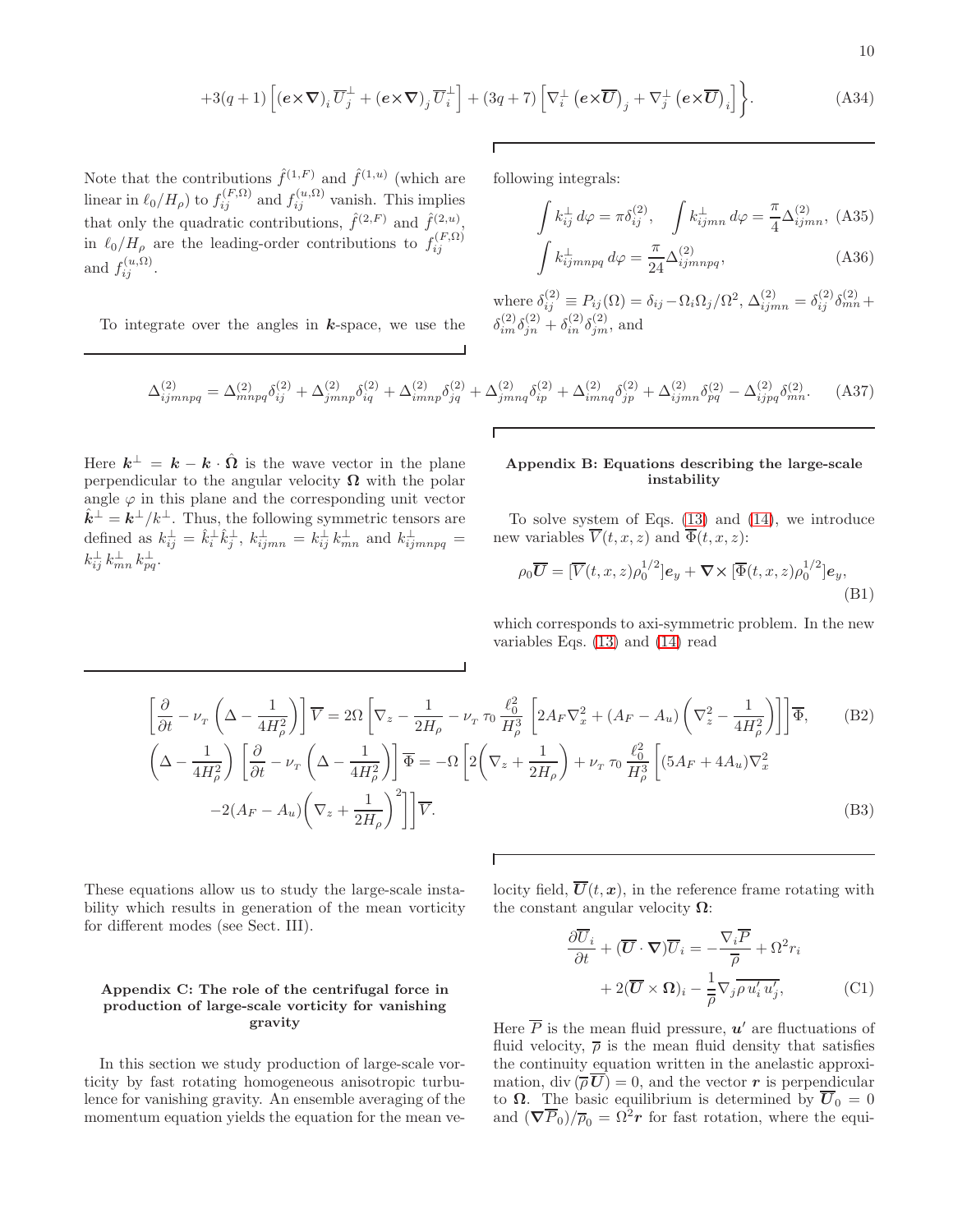$$
+3(q+1)\left[\left(\mathbf{e}\times\boldsymbol{\nabla}\right)_{i}\overline{U}_{j}^{\perp}+\left(\mathbf{e}\times\boldsymbol{\nabla}\right)_{j}\overline{U}_{i}^{\perp}\right]+(3q+7)\left[\nabla_{i}^{\perp}\left(\mathbf{e}\times\overline{\mathbf{U}}\right)_{j}+\nabla_{j}^{\perp}\left(\mathbf{e}\times\overline{\mathbf{U}}\right)_{i}\right]\right\}.
$$
 (A34)

Note that the contributions  $\hat{f}^{(1,F)}$  and  $\hat{f}^{(1,u)}$  (which are linear in  $\ell_0/H_\rho$ ) to  $f_{ij}^{(F,\Omega)}$  and  $f_{ij}^{(u,\Omega)}$  vanish. This implies that only the quadratic contributions,  $\hat{f}^{(2,F)}$  and  $\hat{f}^{(2,u)}$ , in  $\ell_0/H_\rho$  are the leading-order contributions to  $f_{ij}^{(F,\Omega)}$ and  $f_{ij}^{(u,\Omega)}$ .

To integrate over the angles in  $k$ -space, we use the

following integrals:

$$
\int k_{ij}^{\perp} d\varphi = \pi \delta_{ij}^{(2)}, \quad \int k_{ijmn}^{\perp} d\varphi = \frac{\pi}{4} \Delta_{ijmn}^{(2)}, \quad \text{(A35)}
$$

$$
\int k_{ijmnpq}^{\perp} d\varphi = \frac{\pi}{24} \Delta_{ijmnpq}^{(2)}, \quad \text{(A36)}
$$

where  $\delta_{ij}^{(2)} \equiv P_{ij}(\Omega) = \delta_{ij} - \Omega_i \Omega_j / \Omega^2$ ,  $\Delta_{ijmn}^{(2)} = \delta_{ij}^{(2)} \delta_{mn}^{(2)} +$  $\delta_{im}^{(2)}\delta_{jn}^{(2)} + \delta_{in}^{(2)}\delta_{jm}^{(2)}$ , and

$$
\Delta_{ijmnpq}^{(2)} = \Delta_{mnpq}^{(2)} \delta_{ij}^{(2)} + \Delta_{jmnp}^{(2)} \delta_{iq}^{(2)} + \Delta_{imnp}^{(2)} \delta_{jq}^{(2)} + \Delta_{jmnq}^{(2)} \delta_{ip}^{(2)} + \Delta_{imnq}^{(2)} \delta_{jp}^{(2)} + \Delta_{ijmn}^{(2)} \delta_{pq}^{(2)} - \Delta_{ijpq}^{(2)} \delta_{mn}^{(2)}.
$$
 (A37)

Here  $\mathbf{k}^{\perp} = \mathbf{k} - \mathbf{k} \cdot \hat{\mathbf{\Omega}}$  is the wave vector in the plane perpendicular to the angular velocity  $\Omega$  with the polar angle  $\varphi$  in this plane and the corresponding unit vector  $\hat{\mathbf{k}}^{\perp} = \mathbf{k}^{\perp}/k^{\perp}$ . Thus, the following symmetric tensors are defined as  $k_{ij}^{\perp} = \hat{k}_i^{\perp} \hat{k}_j^{\perp}, k_{ijmn}^{\perp} = k_{ij}^{\perp} k_{mn}^{\perp}$  and  $k_{ijmnpq}^{\perp} =$  $k_{ij}^{\perp} k_{mn}^{\perp} k_{pq}^{\perp}$ .

# Appendix B: Equations describing the large-scale instability

To solve system of Eqs. [\(13\)](#page-3-1) and [\(14\)](#page-3-1), we introduce new variables  $\overline{V}(t, x, z)$  and  $\overline{\Phi}(t, x, z)$ :

$$
\rho_0 \overline{U} = [\overline{V}(t, x, z)\rho_0^{1/2}] \mathbf{e}_y + \nabla \times [\overline{\Phi}(t, x, z)\rho_0^{1/2}] \mathbf{e}_y,
$$
\n(B1)

which corresponds to axi-symmetric problem. In the new variables Eqs. [\(13\)](#page-3-1) and [\(14\)](#page-3-1) read

<span id="page-9-0"></span>
$$
\left[\frac{\partial}{\partial t} - \nu_{\scriptscriptstyle T} \left( \Delta - \frac{1}{4H_{\rho}^2} \right) \right] \overline{V} = 2\Omega \left[ \nabla_z - \frac{1}{2H_{\rho}} - \nu_{\scriptscriptstyle T} \tau_0 \frac{\ell_0^2}{H_{\rho}^3} \left[ 2A_F \nabla_x^2 + (A_F - A_u) \left( \nabla_z^2 - \frac{1}{4H_{\rho}^2} \right) \right] \right] \overline{\Phi}, \qquad (B2)
$$
\n
$$
\left( \Delta - \frac{1}{4H_{\rho}^2} \right) \left[ \frac{\partial}{\partial t} - \nu_{\scriptscriptstyle T} \left( \Delta - \frac{1}{4H_{\rho}^2} \right) \right] \overline{\Phi} = -\Omega \left[ 2 \left( \nabla_z + \frac{1}{2H_{\rho}} \right) + \nu_{\scriptscriptstyle T} \tau_0 \frac{\ell_0^2}{H_{\rho}^3} \left[ (5A_F + 4A_u) \nabla_x^2 - 2(A_F - A_u) \left( \nabla_z + \frac{1}{2H_{\rho}} \right)^2 \right] \right] \overline{V}. \qquad (B3)
$$

Г

These equations allow us to study the large-scale instability which results in generation of the mean vorticity for different modes (see Sect. III).

# Appendix C: The role of the centrifugal force in production of large-scale vorticity for vanishing gravity

In this section we study production of large-scale vorticity by fast rotating homogeneous anisotropic turbulence for vanishing gravity. An ensemble averaging of the momentum equation yields the equation for the mean velocity field,  $\overline{U}(t, x)$ , in the reference frame rotating with the constant angular velocity  $\Omega$ :

<span id="page-9-1"></span>
$$
\frac{\partial \overline{U}_i}{\partial t} + (\overline{U} \cdot \nabla) \overline{U}_i = -\frac{\nabla_i \overline{P}}{\overline{\rho}} + \Omega^2 r_i
$$

$$
+ 2(\overline{U} \times \Omega)_i - \frac{1}{\overline{\rho}} \nabla_j \overline{\rho u'_i u'_j}, \tag{C1}
$$

Here  $\overline{P}$  is the mean fluid pressure,  $u'$  are fluctuations of fluid velocity,  $\bar{\rho}$  is the mean fluid density that satisfies the continuity equation written in the anelastic approximation, div  $(\overline{\rho}\,\overline{\bm{U}}) = 0$ , and the vector r is perpendicular to  $\Omega$ . The basic equilibrium is determined by  $\overline{U}_0 = 0$ and  $(\nabla \overline{P}_0)/\overline{\rho}_0 = \Omega^2 r$  for fast rotation, where the equi-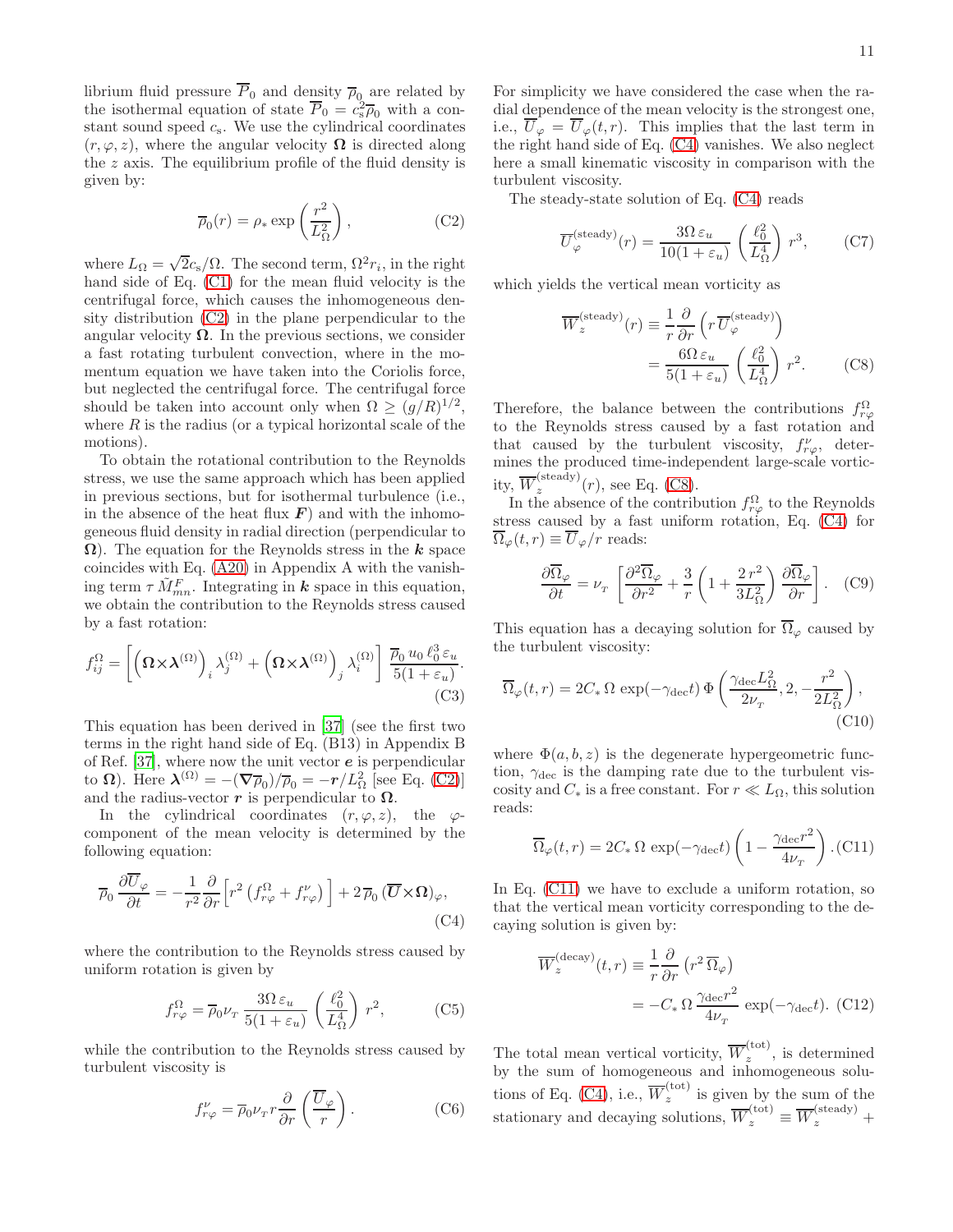librium fluid pressure  $P_0$  and density  $\overline{\rho}_0$  are related by the isothermal equation of state  $\overline{P}_0 = c_s^2 \overline{\rho}_0$  with a constant sound speed  $c_s$ . We use the cylindrical coordinates  $(r, \varphi, z)$ , where the angular velocity  $\Omega$  is directed along the  $z$  axis. The equilibrium profile of the fluid density is given by:

<span id="page-10-0"></span>
$$
\overline{\rho}_0(r) = \rho_* \exp\left(\frac{r^2}{L_{\Omega}^2}\right),\tag{C2}
$$

where  $L_{\Omega} = \sqrt{2}c_{\rm s}/\Omega$ . The second term,  $\Omega^2 r_i$ , in the right hand side of Eq. [\(C1\)](#page-9-1) for the mean fluid velocity is the centrifugal force, which causes the inhomogeneous density distribution [\(C2\)](#page-10-0) in the plane perpendicular to the angular velocity  $\Omega$ . In the previous sections, we consider a fast rotating turbulent convection, where in the momentum equation we have taken into the Coriolis force, but neglected the centrifugal force. The centrifugal force should be taken into account only when  $\Omega \geq (g/R)^{1/2}$ , where  $R$  is the radius (or a typical horizontal scale of the motions).

To obtain the rotational contribution to the Reynolds stress, we use the same approach which has been applied in previous sections, but for isothermal turbulence (i.e., in the absence of the heat flux  $\boldsymbol{F}$ ) and with the inhomogeneous fluid density in radial direction (perpendicular to  $\Omega$ ). The equation for the Reynolds stress in the k space coincides with Eq. [\(A20\)](#page-7-2) in Appendix A with the vanishing term  $\tau \tilde{M}_{mn}^F$ . Integrating in **k** space in this equation, we obtain the contribution to the Reynolds stress caused by a fast rotation:

$$
f_{ij}^{\Omega} = \left[ \left( \mathbf{\Omega} \times \mathbf{\lambda}^{(\Omega)} \right)_i \lambda_j^{(\Omega)} + \left( \mathbf{\Omega} \times \mathbf{\lambda}^{(\Omega)} \right)_j \lambda_i^{(\Omega)} \right] \frac{\overline{\rho}_0 u_0 \ell_0^3 \varepsilon_u}{5(1 + \varepsilon_u)}.
$$
\n(C3)

This equation has been derived in [\[37](#page-11-27)] (see the first two terms in the right hand side of Eq. (B13) in Appendix B of Ref.  $[37]$ , where now the unit vector  $e$  is perpendicular to  $\Omega$ ). Here  $\lambda^{(\Omega)} = -(\nabla \overline{\rho}_0)/\overline{\rho}_0 = -r/L_{\Omega}^2$  [see Eq. [\(C2\)](#page-10-0)] and the radius-vector r is perpendicular to  $\Omega$ .

In the cylindrical coordinates  $(r, \varphi, z)$ , the  $\varphi$ component of the mean velocity is determined by the following equation:

<span id="page-10-1"></span>
$$
\overline{\rho}_0 \frac{\partial \overline{U}_{\varphi}}{\partial t} = -\frac{1}{r^2} \frac{\partial}{\partial r} \Big[ r^2 \left( f_{r\varphi}^{\Omega} + f_{r\varphi}^{\nu} \right) \Big] + 2 \, \overline{\rho}_0 \, (\overline{\mathbf{U}} \times \Omega)_{\varphi},\tag{C4}
$$

where the contribution to the Reynolds stress caused by uniform rotation is given by

$$
f_{r\varphi}^{\Omega} = \overline{\rho}_0 \nu_r \frac{3\Omega \,\varepsilon_u}{5(1+\varepsilon_u)} \left(\frac{\ell_0^2}{L_\Omega^4}\right) r^2, \tag{C5}
$$

while the contribution to the Reynolds stress caused by turbulent viscosity is

$$
f_{r\varphi}^{\nu} = \overline{\rho}_0 \nu_r r \frac{\partial}{\partial r} \left( \frac{\overline{U}_{\varphi}}{r} \right). \tag{C6}
$$

For simplicity we have considered the case when the radial dependence of the mean velocity is the strongest one, i.e.,  $\overline{U}_{\varphi} = \overline{U}_{\varphi}(t,r)$ . This implies that the last term in the right hand side of Eq. [\(C4\)](#page-10-1) vanishes. We also neglect here a small kinematic viscosity in comparison with the turbulent viscosity.

The steady-state solution of Eq. [\(C4\)](#page-10-1) reads

$$
\overline{U}_{\varphi}^{(\text{steady})}(r) = \frac{3\Omega \,\varepsilon_u}{10(1 + \varepsilon_u)} \left(\frac{\ell_0^2}{L_{\Omega}^4}\right) r^3,\tag{C7}
$$

which yields the vertical mean vorticity as

<span id="page-10-2"></span>
$$
\overline{W}_{z}^{(\text{steady})}(r) \equiv \frac{1}{r} \frac{\partial}{\partial r} \left( r \, \overline{U}_{\varphi}^{(\text{steady})} \right)
$$

$$
= \frac{6\Omega \, \varepsilon_u}{5(1 + \varepsilon_u)} \left( \frac{\ell_0^2}{L_{\Omega}^4} \right) r^2. \tag{C8}
$$

Therefore, the balance between the contributions  $f_{r\varphi}^{\Omega}$ to the Reynolds stress caused by a fast rotation and that caused by the turbulent viscosity,  $f^{\nu}_{r\varphi}$ , determines the produced time-independent large-scale vorticity,  $\overline{W}_z^{(\text{steady})}$  $\sum_{z}^{(\text{steady})}(r)$ , see Eq. [\(C8\)](#page-10-2).

In the absence of the contribution  $f_{r\varphi}^{\Omega}$  to the Reynolds stress caused by a fast uniform rotation, Eq. [\(C4\)](#page-10-1) for  $\overline{\Omega}_{\varphi}(t,r) \equiv \overline{U}_{\varphi}/r$  reads:

$$
\frac{\partial \overline{\Omega}_{\varphi}}{\partial t} = \nu_{\scriptscriptstyle T} \left[ \frac{\partial^2 \overline{\Omega}_{\varphi}}{\partial r^2} + \frac{3}{r} \left( 1 + \frac{2 r^2}{3 L_{\Omega}^2} \right) \frac{\partial \overline{\Omega}_{\varphi}}{\partial r} \right]. \tag{C9}
$$

This equation has a decaying solution for  $\overline{\Omega}_{\varphi}$  caused by the turbulent viscosity:

$$
\overline{\Omega}_{\varphi}(t,r) = 2C_* \, \Omega \, \exp(-\gamma_{\text{dec}}t) \, \Phi\left(\frac{\gamma_{\text{dec}} L_{\Omega}^2}{2\nu_{\tau}}, 2, -\frac{r^2}{2L_{\Omega}^2}\right),\tag{C10}
$$

where  $\Phi(a, b, z)$  is the degenerate hypergeometric function,  $\gamma_{\text{dec}}$  is the damping rate due to the turbulent viscosity and  $C_*$  is a free constant. For  $r \ll L_{\Omega}$ , this solution reads:

<span id="page-10-3"></span>
$$
\overline{\Omega}_{\varphi}(t,r) = 2C_* \, \Omega \, \exp(-\gamma_{\text{dec}}t) \left(1 - \frac{\gamma_{\text{dec}}r^2}{4\nu_r}\right). \text{(C11)}
$$

In Eq. [\(C11\)](#page-10-3) we have to exclude a uniform rotation, so that the vertical mean vorticity corresponding to the decaying solution is given by:

$$
\overline{W}_z^{(\text{decay})}(t, r) \equiv \frac{1}{r} \frac{\partial}{\partial r} \left( r^2 \overline{\Omega}_{\varphi} \right)
$$

$$
= -C_* \Omega \frac{\gamma_{\text{dec}} r^2}{4\nu_r} \exp(-\gamma_{\text{dec}} t). (C12)
$$

The total mean vertical vorticity,  $\overline{W}_z^{(\text{tot})}$  $z^{(\text{tot})}$ , is determined by the sum of homogeneous and inhomogeneous solu-tions of Eq. [\(C4\)](#page-10-1), i.e.,  $\overline{W}_z^{(\text{tot})}$  $\sum_{z}^{(\cos)}$  is given by the sum of the stationary and decaying solutions,  $\overline{W}_z^{(\text{tot})} \equiv \overline{W}_z^{(\text{steady})}$  +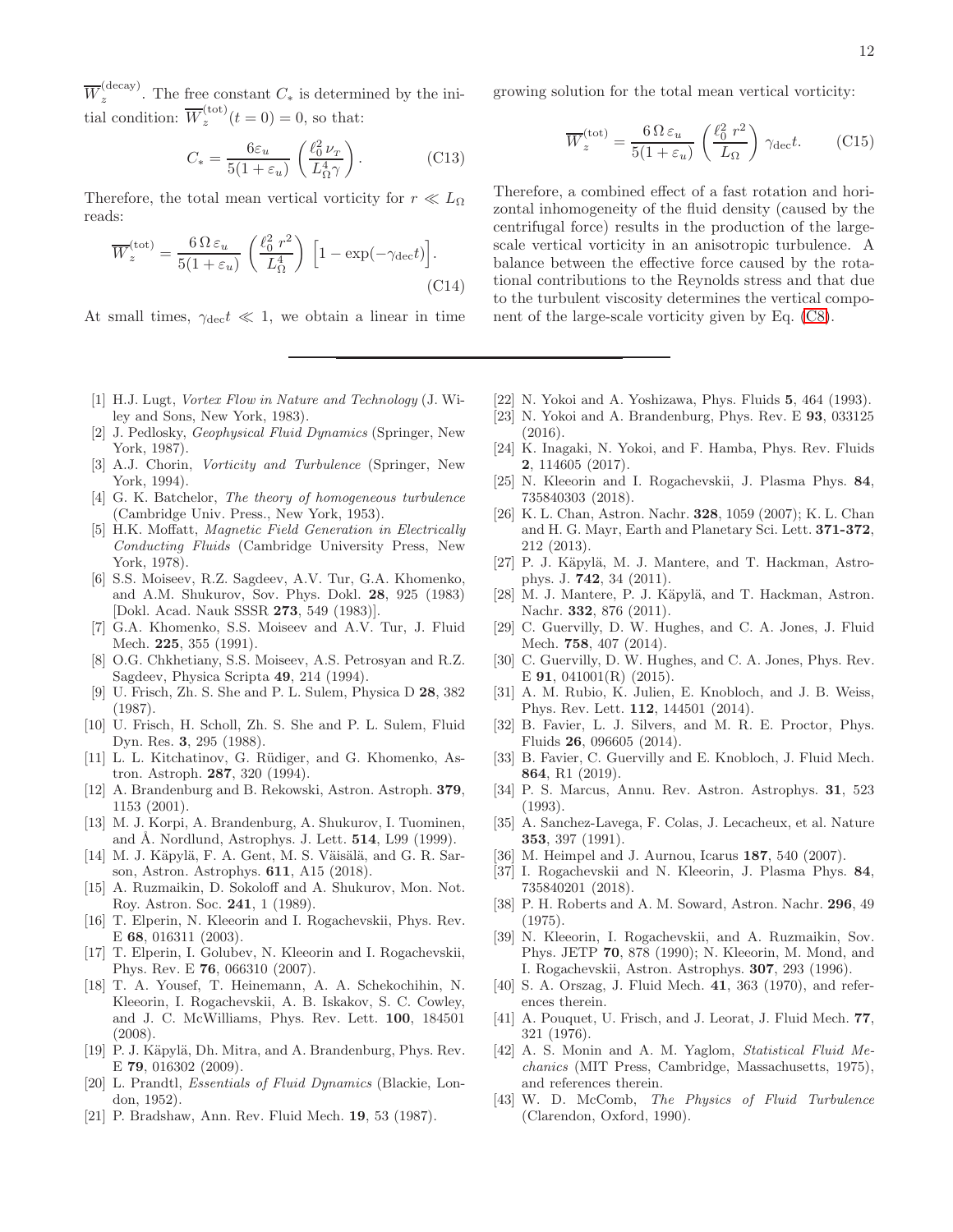$\overline{W}_z^{(\mathrm{decay})}$  $\sum_{z}$ . The free constant  $C_*$  is determined by the initial condition:  $\overline{W}_z^{(\text{tot})}$  $f_c^{(00)}(t=0) = 0$ , so that:

$$
C_* = \frac{6\varepsilon_u}{5(1+\varepsilon_u)} \left(\frac{\ell_0^2 \nu_T}{L_\Omega^4 \gamma}\right). \tag{C13}
$$

Therefore, the total mean vertical vorticity for  $r \ll L_{\Omega}$ reads:

$$
\overline{W}_z^{(\text{tot})} = \frac{6 \Omega \varepsilon_u}{5(1 + \varepsilon_u)} \left(\frac{\ell_0^2 r^2}{L_{\Omega}^4}\right) \left[1 - \exp(-\gamma_{\text{dec}}t)\right].\tag{C14}
$$

At small times,  $\gamma_{\text{dec}} t \ll 1$ , we obtain a linear in time

- <span id="page-11-0"></span>[1] H.J. Lugt, Vortex Flow in Nature and Technology (J. Wiley and Sons, New York, 1983).
- [2] J. Pedlosky, Geophysical Fluid Dynamics (Springer, New York, 1987).
- <span id="page-11-1"></span>[3] A.J. Chorin, *Vorticity and Turbulence* (Springer, New York, 1994).
- <span id="page-11-2"></span>[4] G. K. Batchelor, *The theory of homogeneous turbulence* (Cambridge Univ. Press., New York, 1953).
- <span id="page-11-3"></span>[5] H.K. Moffatt, Magnetic Field Generation in Electrically Conducting Fluids (Cambridge University Press, New York, 1978).
- <span id="page-11-4"></span>[6] S.S. Moiseev, R.Z. Sagdeev, A.V. Tur, G.A. Khomenko, and A.M. Shukurov, Sov. Phys. Dokl. 28, 925 (1983) [Dokl. Acad. Nauk SSSR 273, 549 (1983)].
- [7] G.A. Khomenko, S.S. Moiseev and A.V. Tur, J. Fluid Mech. 225, 355 (1991).
- <span id="page-11-5"></span>[8] O.G. Chkhetiany, S.S. Moiseev, A.S. Petrosyan and R.Z. Sagdeev, Physica Scripta 49, 214 (1994).
- <span id="page-11-6"></span>[9] U. Frisch, Zh. S. She and P. L. Sulem, Physica D 28, 382 (1987).
- [10] U. Frisch, H. Scholl, Zh. S. She and P. L. Sulem, Fluid Dyn. Res. 3, 295 (1988).
- <span id="page-11-7"></span>[11] L. L. Kitchatinov, G. Rüdiger, and G. Khomenko, Astron. Astroph. 287, 320 (1994).
- <span id="page-11-8"></span>[12] A. Brandenburg and B. Rekowski, Astron. Astroph. 379, 1153 (2001).
- <span id="page-11-9"></span>[13] M. J. Korpi, A. Brandenburg, A. Shukurov, I. Tuominen, and Å. Nordlund, Astrophys. J. Lett. **514**, L99 (1999).
- <span id="page-11-10"></span>[14] M. J. Käpylä, F. A. Gent, M. S. Väisälä, and G. R. Sarson, Astron. Astrophys. 611, A15 (2018).
- <span id="page-11-11"></span>[15] A. Ruzmaikin, D. Sokoloff and A. Shukurov, Mon. Not. Roy. Astron. Soc. 241, 1 (1989).
- <span id="page-11-12"></span>[16] T. Elperin, N. Kleeorin and I. Rogachevskii, Phys. Rev. E 68, 016311 (2003).
- <span id="page-11-13"></span>[17] T. Elperin, I. Golubev, N. Kleeorin and I. Rogachevskii, Phys. Rev. E 76, 066310 (2007).
- <span id="page-11-14"></span>[18] T. A. Yousef, T. Heinemann, A. A. Schekochihin, N. Kleeorin, I. Rogachevskii, A. B. Iskakov, S. C. Cowley, and J. C. McWilliams, Phys. Rev. Lett. 100, 184501 (2008).
- <span id="page-11-15"></span>[19] P. J. Käpylä, Dh. Mitra, and A. Brandenburg, Phys. Rev. E 79, 016302 (2009).
- <span id="page-11-16"></span>[20] L. Prandtl, Essentials of Fluid Dynamics (Blackie, London, 1952).
- <span id="page-11-17"></span>[21] P. Bradshaw, Ann. Rev. Fluid Mech. 19, 53 (1987).

growing solution for the total mean vertical vorticity:

$$
\overline{W}_z^{(\text{tot})} = \frac{6 \,\Omega \,\varepsilon_u}{5(1 + \varepsilon_u)} \left(\frac{\ell_0^2 \, r^2}{L_\Omega}\right) \,\gamma_{\text{dec}}t. \tag{C15}
$$

Therefore, a combined effect of a fast rotation and horizontal inhomogeneity of the fluid density (caused by the centrifugal force) results in the production of the largescale vertical vorticity in an anisotropic turbulence. A balance between the effective force caused by the rotational contributions to the Reynolds stress and that due to the turbulent viscosity determines the vertical component of the large-scale vorticity given by Eq. [\(C8\)](#page-10-2).

- <span id="page-11-18"></span>[22] N. Yokoi and A. Yoshizawa, Phys. Fluids 5, 464 (1993).
- [23] N. Yokoi and A. Brandenburg, Phys. Rev. E 93, 033125  $(2016).$
- [24] K. Inagaki, N. Yokoi, and F. Hamba, Phys. Rev. Fluids 2, 114605 (2017).
- <span id="page-11-19"></span>[25] N. Kleeorin and I. Rogachevskii, J. Plasma Phys. 84, 735840303 (2018).
- <span id="page-11-20"></span>[26] K. L. Chan, Astron. Nachr. 328, 1059 (2007); K. L. Chan and H. G. Mayr, Earth and Planetary Sci. Lett. 371-372, 212 (2013).
- <span id="page-11-24"></span>[27] P. J. Käpylä, M. J. Mantere, and T. Hackman, Astrophys. J. 742, 34 (2011).
- <span id="page-11-21"></span>[28] M. J. Mantere, P. J. Käpylä, and T. Hackman, Astron. Nachr. 332, 876 (2011).
- <span id="page-11-22"></span>[29] C. Guervilly, D. W. Hughes, and C. A. Jones, J. Fluid Mech. 758, 407 (2014).
- [30] C. Guervilly, D. W. Hughes, and C. A. Jones, Phys. Rev. E 91, 041001(R) (2015).
- [31] A. M. Rubio, K. Julien, E. Knobloch, and J. B. Weiss, Phys. Rev. Lett. 112, 144501 (2014).
- [32] B. Favier, L. J. Silvers, and M. R. E. Proctor, Phys. Fluids 26, 096605 (2014).
- <span id="page-11-23"></span>[33] B. Favier, C. Guervilly and E. Knobloch, J. Fluid Mech. 864, R1 (2019).
- <span id="page-11-25"></span>[34] P. S. Marcus, Annu. Rev. Astron. Astrophys. 31, 523 (1993).
- <span id="page-11-34"></span>[35] A. Sanchez-Lavega, F. Colas, J. Lecacheux, et al. Nature 353, 397 (1991).
- <span id="page-11-26"></span>[36] M. Heimpel and J. Aurnou, Icarus 187, 540 (2007).<br>[37] I. Rogachevskii and N. Kleeorin, J. Plasma Phys.
- <span id="page-11-27"></span>I. Rogachevskii and N. Kleeorin, J. Plasma Phys. 84, 735840201 (2018).
- <span id="page-11-28"></span>[38] P. H. Roberts and A. M. Soward, Astron. Nachr. 296, 49 (1975).
- <span id="page-11-29"></span>[39] N. Kleeorin, I. Rogachevskii, and A. Ruzmaikin, Sov. Phys. JETP 70, 878 (1990); N. Kleeorin, M. Mond, and I. Rogachevskii, Astron. Astrophys. 307, 293 (1996).
- <span id="page-11-31"></span>[40] S. A. Orszag, J. Fluid Mech. **41**, 363 (1970), and references therein.
- <span id="page-11-30"></span>[41] A. Pouquet, U. Frisch, and J. Leorat, J. Fluid Mech. 77, 321 (1976).
- <span id="page-11-32"></span>[42] A. S. Monin and A. M. Yaglom, Statistical Fluid Mechanics (MIT Press, Cambridge, Massachusetts, 1975), and references therein.
- <span id="page-11-33"></span>[43] W. D. McComb, The Physics of Fluid Turbulence (Clarendon, Oxford, 1990).